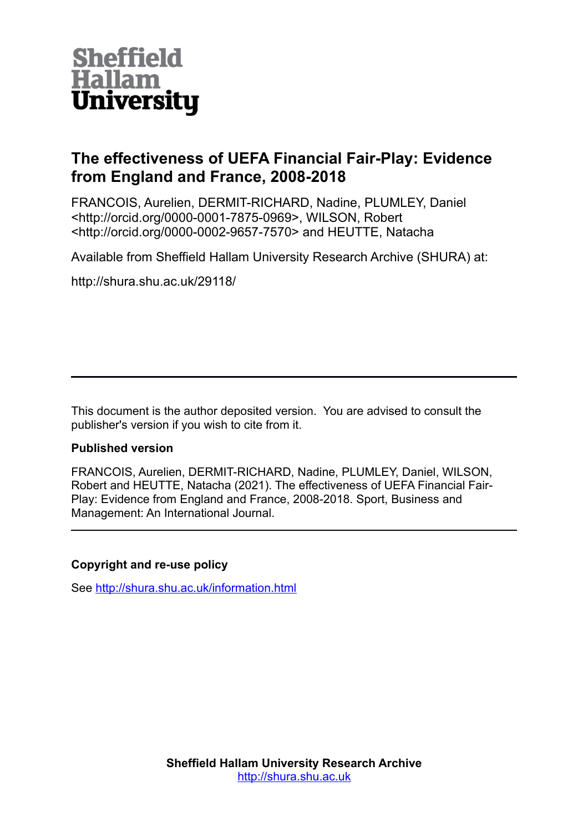

# **The effectiveness of UEFA Financial Fair-Play: Evidence from England and France, 2008-2018**

FRANCOIS, Aurelien, DERMIT-RICHARD, Nadine, PLUMLEY, Daniel <http://orcid.org/0000-0001-7875-0969>, WILSON, Robert <http://orcid.org/0000-0002-9657-7570> and HEUTTE, Natacha

Available from Sheffield Hallam University Research Archive (SHURA) at:

http://shura.shu.ac.uk/29118/

This document is the author deposited version. You are advised to consult the publisher's version if you wish to cite from it.

## **Published version**

FRANCOIS, Aurelien, DERMIT-RICHARD, Nadine, PLUMLEY, Daniel, WILSON, Robert and HEUTTE, Natacha (2021). The effectiveness of UEFA Financial Fair-Play: Evidence from England and France, 2008-2018. Sport, Business and Management: An International Journal.

## **Copyright and re-use policy**

See<http://shura.shu.ac.uk/information.html>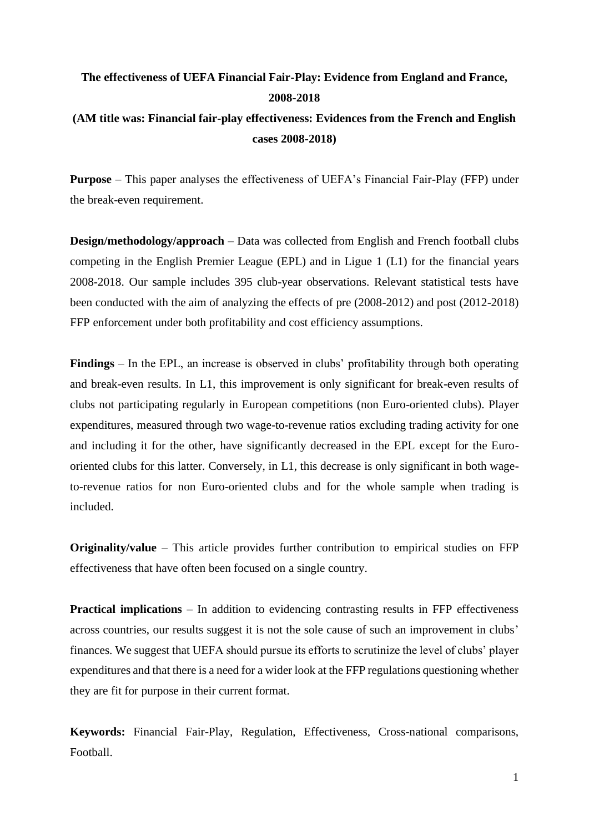# **The effectiveness of UEFA Financial Fair-Play: Evidence from England and France, 2008-2018**

## **(AM title was: Financial fair-play effectiveness: Evidences from the French and English cases 2008-2018)**

**Purpose** – This paper analyses the effectiveness of UEFA's Financial Fair-Play (FFP) under the break-even requirement.

**Design/methodology/approach** – Data was collected from English and French football clubs competing in the English Premier League (EPL) and in Ligue 1 (L1) for the financial years 2008-2018. Our sample includes 395 club-year observations. Relevant statistical tests have been conducted with the aim of analyzing the effects of pre (2008-2012) and post (2012-2018) FFP enforcement under both profitability and cost efficiency assumptions.

**Findings** – In the EPL, an increase is observed in clubs' profitability through both operating and break-even results. In L1, this improvement is only significant for break-even results of clubs not participating regularly in European competitions (non Euro-oriented clubs). Player expenditures, measured through two wage-to-revenue ratios excluding trading activity for one and including it for the other, have significantly decreased in the EPL except for the Eurooriented clubs for this latter. Conversely, in L1, this decrease is only significant in both wageto-revenue ratios for non Euro-oriented clubs and for the whole sample when trading is included.

**Originality/value** – This article provides further contribution to empirical studies on FFP effectiveness that have often been focused on a single country.

**Practical implications** – In addition to evidencing contrasting results in FFP effectiveness across countries, our results suggest it is not the sole cause of such an improvement in clubs' finances. We suggest that UEFA should pursue its efforts to scrutinize the level of clubs' player expenditures and that there is a need for a wider look at the FFP regulations questioning whether they are fit for purpose in their current format.

**Keywords:** Financial Fair-Play, Regulation, Effectiveness, Cross-national comparisons, Football.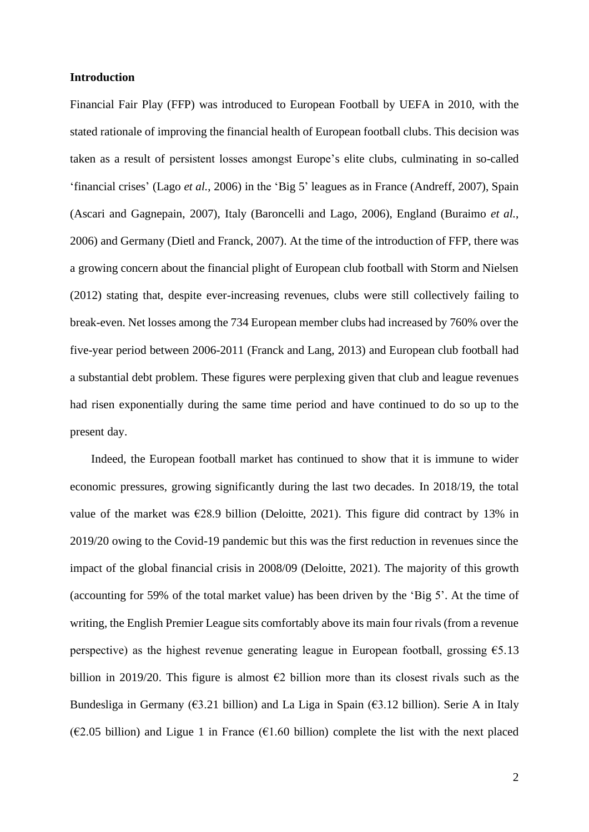#### **Introduction**

Financial Fair Play (FFP) was introduced to European Football by UEFA in 2010, with the stated rationale of improving the financial health of European football clubs. This decision was taken as a result of persistent losses amongst Europe's elite clubs, culminating in so-called 'financial crises' (Lago *et al.*, 2006) in the 'Big 5' leagues as in France (Andreff, 2007), Spain (Ascari and Gagnepain, 2007), Italy (Baroncelli and Lago, 2006), England (Buraimo *et al.*, 2006) and Germany (Dietl and Franck, 2007). At the time of the introduction of FFP, there was a growing concern about the financial plight of European club football with Storm and Nielsen (2012) stating that, despite ever-increasing revenues, clubs were still collectively failing to break-even. Net losses among the 734 European member clubs had increased by 760% over the five-year period between 2006-2011 (Franck and Lang, 2013) and European club football had a substantial debt problem. These figures were perplexing given that club and league revenues had risen exponentially during the same time period and have continued to do so up to the present day.

Indeed, the European football market has continued to show that it is immune to wider economic pressures, growing significantly during the last two decades. In 2018/19, the total value of the market was  $\epsilon$ 28.9 billion (Deloitte, 2021). This figure did contract by 13% in 2019/20 owing to the Covid-19 pandemic but this was the first reduction in revenues since the impact of the global financial crisis in 2008/09 (Deloitte, 2021). The majority of this growth (accounting for 59% of the total market value) has been driven by the 'Big 5'. At the time of writing, the English Premier League sits comfortably above its main four rivals (from a revenue perspective) as the highest revenue generating league in European football, grossing  $\epsilon$ 5.13 billion in 2019/20. This figure is almost  $\epsilon$ 2 billion more than its closest rivals such as the Bundesliga in Germany ( $\epsilon$ 3.21 billion) and La Liga in Spain ( $\epsilon$ 3.12 billion). Serie A in Italy ( $\epsilon$ 2.05 billion) and Ligue 1 in France ( $\epsilon$ 1.60 billion) complete the list with the next placed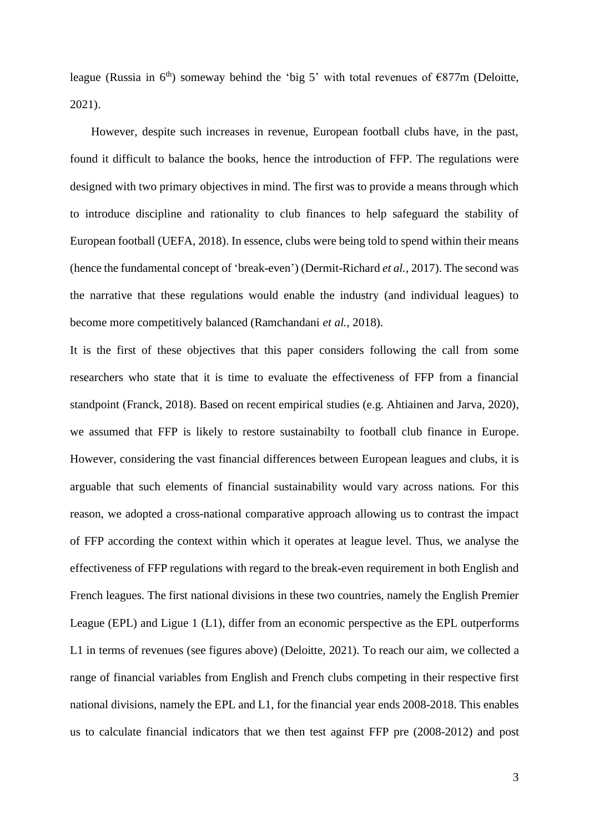league (Russia in  $6<sup>th</sup>$ ) someway behind the 'big 5' with total revenues of  $\epsilon$ 877m (Deloitte, 2021).

However, despite such increases in revenue, European football clubs have, in the past, found it difficult to balance the books, hence the introduction of FFP. The regulations were designed with two primary objectives in mind. The first was to provide a means through which to introduce discipline and rationality to club finances to help safeguard the stability of European football (UEFA, 2018). In essence, clubs were being told to spend within their means (hence the fundamental concept of 'break-even') (Dermit-Richard *et al.*, 2017). The second was the narrative that these regulations would enable the industry (and individual leagues) to become more competitively balanced (Ramchandani *et al.*, 2018).

It is the first of these objectives that this paper considers following the call from some researchers who state that it is time to evaluate the effectiveness of FFP from a financial standpoint (Franck, 2018). Based on recent empirical studies (e.g. Ahtiainen and Jarva, 2020), we assumed that FFP is likely to restore sustainabilty to football club finance in Europe. However, considering the vast financial differences between European leagues and clubs, it is arguable that such elements of financial sustainability would vary across nations. For this reason, we adopted a cross-national comparative approach allowing us to contrast the impact of FFP according the context within which it operates at league level. Thus, we analyse the effectiveness of FFP regulations with regard to the break-even requirement in both English and French leagues. The first national divisions in these two countries, namely the English Premier League (EPL) and Ligue 1 (L1), differ from an economic perspective as the EPL outperforms L1 in terms of revenues (see figures above) (Deloitte, 2021). To reach our aim, we collected a range of financial variables from English and French clubs competing in their respective first national divisions, namely the EPL and L1, for the financial year ends 2008-2018. This enables us to calculate financial indicators that we then test against FFP pre (2008-2012) and post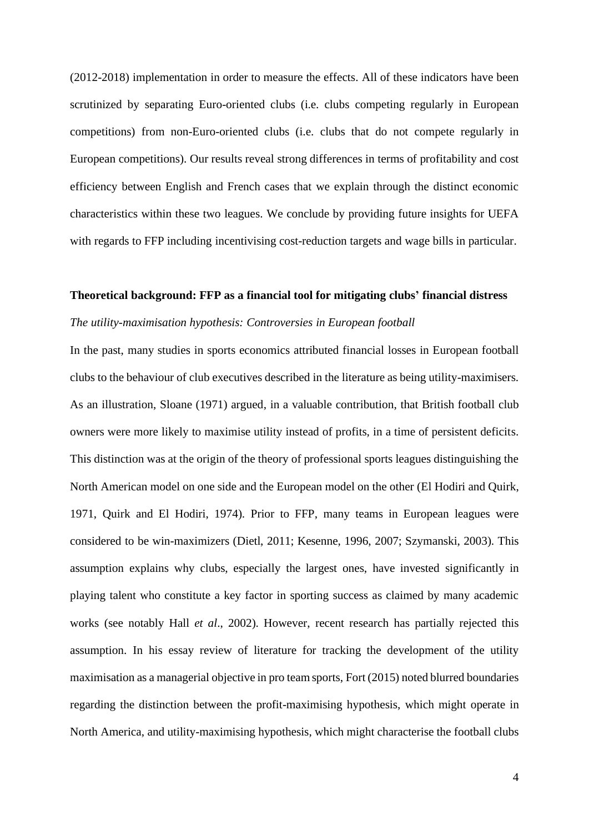(2012-2018) implementation in order to measure the effects. All of these indicators have been scrutinized by separating Euro-oriented clubs (i.e. clubs competing regularly in European competitions) from non-Euro-oriented clubs (i.e. clubs that do not compete regularly in European competitions). Our results reveal strong differences in terms of profitability and cost efficiency between English and French cases that we explain through the distinct economic characteristics within these two leagues. We conclude by providing future insights for UEFA with regards to FFP including incentivising cost-reduction targets and wage bills in particular.

#### **Theoretical background: FFP as a financial tool for mitigating clubs' financial distress**

#### *The utility-maximisation hypothesis: Controversies in European football*

In the past, many studies in sports economics attributed financial losses in European football clubs to the behaviour of club executives described in the literature as being utility-maximisers. As an illustration, Sloane (1971) argued, in a valuable contribution, that British football club owners were more likely to maximise utility instead of profits, in a time of persistent deficits. This distinction was at the origin of the theory of professional sports leagues distinguishing the North American model on one side and the European model on the other (El Hodiri and Quirk, 1971, Quirk and El Hodiri, 1974). Prior to FFP, many teams in European leagues were considered to be win-maximizers (Dietl, 2011; Kesenne, 1996, 2007; Szymanski, 2003). This assumption explains why clubs, especially the largest ones, have invested significantly in playing talent who constitute a key factor in sporting success as claimed by many academic works (see notably Hall *et al*., 2002). However, recent research has partially rejected this assumption. In his essay review of literature for tracking the development of the utility maximisation as a managerial objective in pro team sports, Fort (2015) noted blurred boundaries regarding the distinction between the profit-maximising hypothesis, which might operate in North America, and utility-maximising hypothesis, which might characterise the football clubs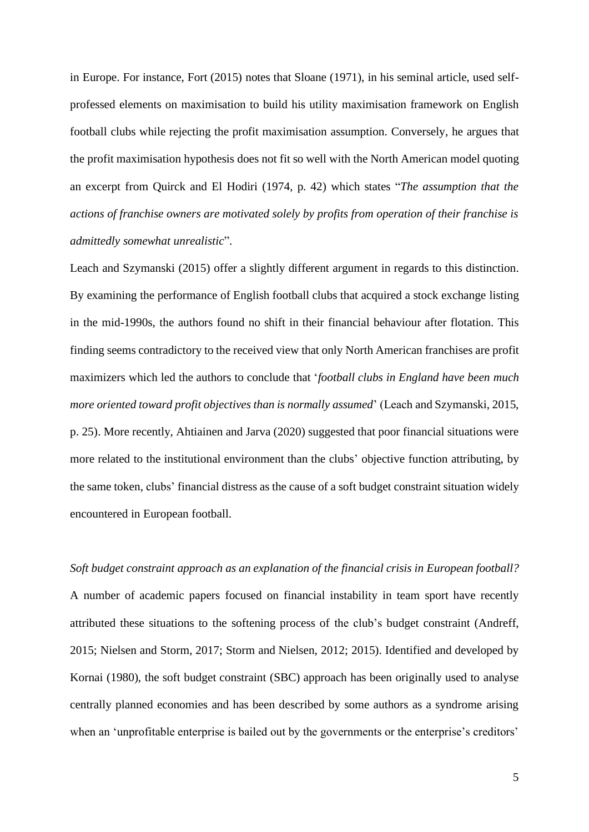in Europe. For instance, Fort (2015) notes that Sloane (1971), in his seminal article, used selfprofessed elements on maximisation to build his utility maximisation framework on English football clubs while rejecting the profit maximisation assumption. Conversely, he argues that the profit maximisation hypothesis does not fit so well with the North American model quoting an excerpt from Quirck and El Hodiri (1974, p. 42) which states "*The assumption that the actions of franchise owners are motivated solely by profits from operation of their franchise is admittedly somewhat unrealistic*".

Leach and Szymanski (2015) offer a slightly different argument in regards to this distinction. By examining the performance of English football clubs that acquired a stock exchange listing in the mid-1990s, the authors found no shift in their financial behaviour after flotation. This finding seems contradictory to the received view that only North American franchises are profit maximizers which led the authors to conclude that '*football clubs in England have been much more oriented toward profit objectives than is normally assumed*' (Leach and Szymanski, 2015, p. 25). More recently, Ahtiainen and Jarva (2020) suggested that poor financial situations were more related to the institutional environment than the clubs' objective function attributing, by the same token, clubs' financial distress as the cause of a soft budget constraint situation widely encountered in European football.

*Soft budget constraint approach as an explanation of the financial crisis in European football?* A number of academic papers focused on financial instability in team sport have recently attributed these situations to the softening process of the club's budget constraint (Andreff, 2015; Nielsen and Storm, 2017; Storm and Nielsen, 2012; 2015). Identified and developed by Kornai (1980), the soft budget constraint (SBC) approach has been originally used to analyse centrally planned economies and has been described by some authors as a syndrome arising when an 'unprofitable enterprise is bailed out by the governments or the enterprise's creditors'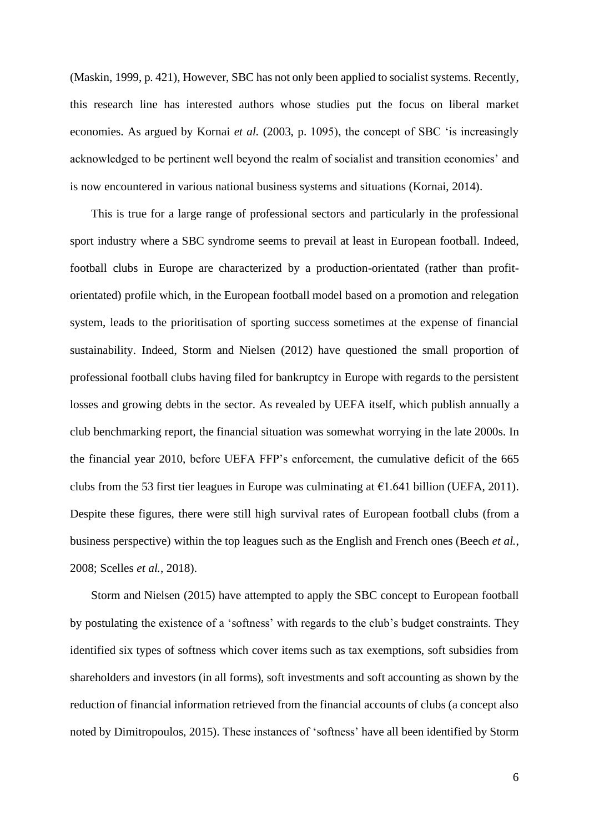(Maskin, 1999, p. 421), However, SBC has not only been applied to socialist systems. Recently, this research line has interested authors whose studies put the focus on liberal market economies. As argued by Kornai *et al.* (2003, p. 1095), the concept of SBC 'is increasingly acknowledged to be pertinent well beyond the realm of socialist and transition economies' and is now encountered in various national business systems and situations (Kornai, 2014).

This is true for a large range of professional sectors and particularly in the professional sport industry where a SBC syndrome seems to prevail at least in European football. Indeed, football clubs in Europe are characterized by a production-orientated (rather than profitorientated) profile which, in the European football model based on a promotion and relegation system, leads to the prioritisation of sporting success sometimes at the expense of financial sustainability. Indeed, Storm and Nielsen (2012) have questioned the small proportion of professional football clubs having filed for bankruptcy in Europe with regards to the persistent losses and growing debts in the sector. As revealed by UEFA itself, which publish annually a club benchmarking report, the financial situation was somewhat worrying in the late 2000s. In the financial year 2010, before UEFA FFP's enforcement, the cumulative deficit of the 665 clubs from the 53 first tier leagues in Europe was culminating at  $\epsilon$ 1.641 billion (UEFA, 2011). Despite these figures, there were still high survival rates of European football clubs (from a business perspective) within the top leagues such as the English and French ones (Beech *et al.*, 2008; Scelles *et al.*, 2018).

Storm and Nielsen (2015) have attempted to apply the SBC concept to European football by postulating the existence of a 'softness' with regards to the club's budget constraints. They identified six types of softness which cover items such as tax exemptions, soft subsidies from shareholders and investors (in all forms), soft investments and soft accounting as shown by the reduction of financial information retrieved from the financial accounts of clubs (a concept also noted by Dimitropoulos, 2015). These instances of 'softness' have all been identified by Storm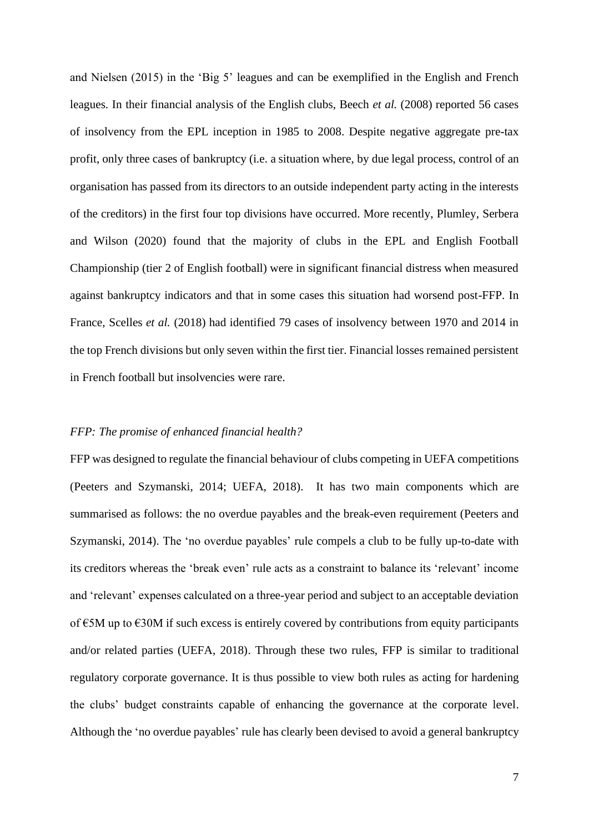and Nielsen (2015) in the 'Big 5' leagues and can be exemplified in the English and French leagues. In their financial analysis of the English clubs, Beech *et al.* (2008) reported 56 cases of insolvency from the EPL inception in 1985 to 2008. Despite negative aggregate pre-tax profit, only three cases of bankruptcy (i.e. a situation where, by due legal process, control of an organisation has passed from its directors to an outside independent party acting in the interests of the creditors) in the first four top divisions have occurred. More recently, Plumley, Serbera and Wilson (2020) found that the majority of clubs in the EPL and English Football Championship (tier 2 of English football) were in significant financial distress when measured against bankruptcy indicators and that in some cases this situation had worsend post-FFP. In France, Scelles *et al.* (2018) had identified 79 cases of insolvency between 1970 and 2014 in the top French divisions but only seven within the first tier. Financial losses remained persistent in French football but insolvencies were rare.

#### *FFP: The promise of enhanced financial health?*

FFP was designed to regulate the financial behaviour of clubs competing in UEFA competitions (Peeters and Szymanski, 2014; UEFA, 2018). It has two main components which are summarised as follows: the no overdue payables and the break-even requirement (Peeters and Szymanski, 2014). The 'no overdue payables' rule compels a club to be fully up-to-date with its creditors whereas the 'break even' rule acts as a constraint to balance its 'relevant' income and 'relevant' expenses calculated on a three-year period and subject to an acceptable deviation of €5M up to €30M if such excess is entirely covered by contributions from equity participants and/or related parties (UEFA, 2018). Through these two rules, FFP is similar to traditional regulatory corporate governance. It is thus possible to view both rules as acting for hardening the clubs' budget constraints capable of enhancing the governance at the corporate level. Although the 'no overdue payables' rule has clearly been devised to avoid a general bankruptcy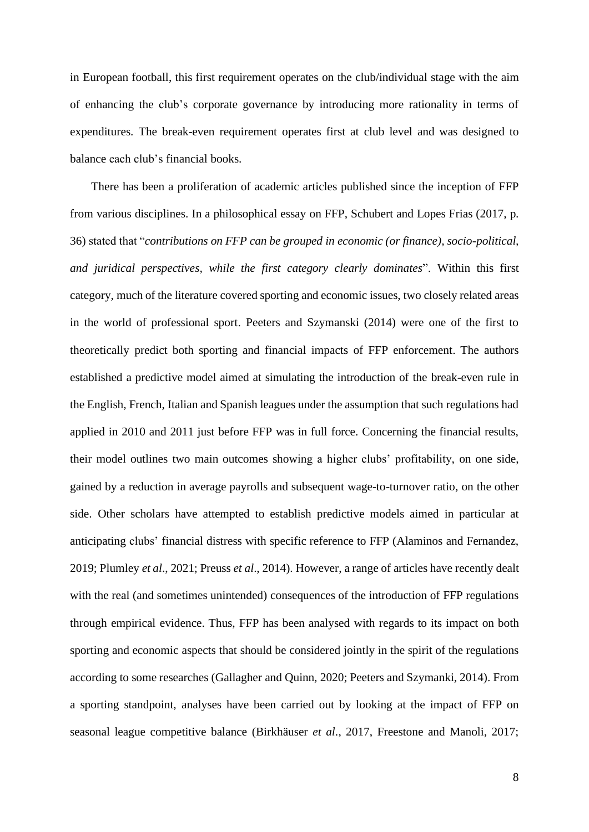in European football, this first requirement operates on the club/individual stage with the aim of enhancing the club's corporate governance by introducing more rationality in terms of expenditures. The break-even requirement operates first at club level and was designed to balance each club's financial books.

There has been a proliferation of academic articles published since the inception of FFP from various disciplines. In a philosophical essay on FFP, Schubert and Lopes Frias (2017, p. 36) stated that "*contributions on FFP can be grouped in economic (or finance), socio-political, and juridical perspectives, while the first category clearly dominates*". Within this first category, much of the literature covered sporting and economic issues, two closely related areas in the world of professional sport. Peeters and Szymanski (2014) were one of the first to theoretically predict both sporting and financial impacts of FFP enforcement. The authors established a predictive model aimed at simulating the introduction of the break-even rule in the English, French, Italian and Spanish leagues under the assumption that such regulations had applied in 2010 and 2011 just before FFP was in full force. Concerning the financial results, their model outlines two main outcomes showing a higher clubs' profitability, on one side, gained by a reduction in average payrolls and subsequent wage-to-turnover ratio, on the other side. Other scholars have attempted to establish predictive models aimed in particular at anticipating clubs' financial distress with specific reference to FFP (Alaminos and Fernandez, 2019; Plumley *et al*., 2021; Preuss *et al*., 2014). However, a range of articles have recently dealt with the real (and sometimes unintended) consequences of the introduction of FFP regulations through empirical evidence. Thus, FFP has been analysed with regards to its impact on both sporting and economic aspects that should be considered jointly in the spirit of the regulations according to some researches (Gallagher and Quinn, 2020; Peeters and Szymanki, 2014). From a sporting standpoint, analyses have been carried out by looking at the impact of FFP on seasonal league competitive balance (Birkhäuser *et al*., 2017, Freestone and Manoli, 2017;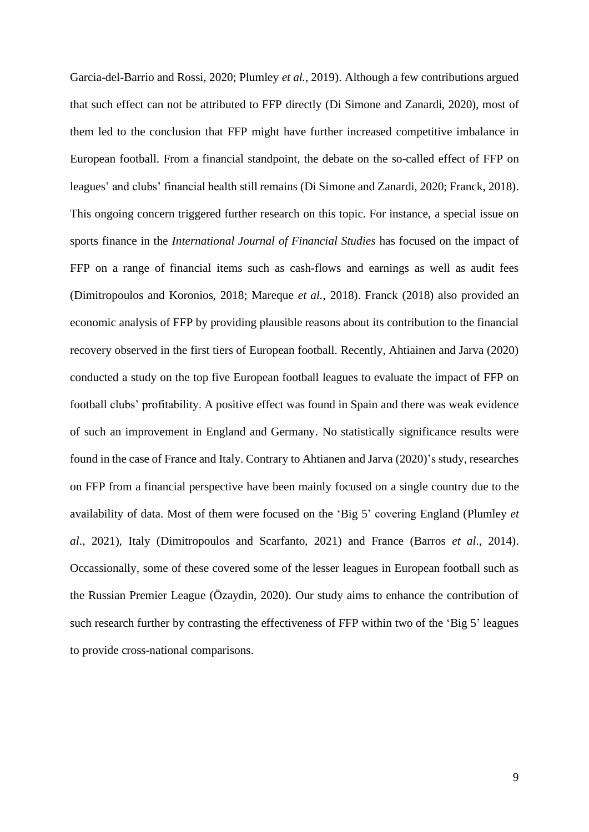Garcia-del-Barrio and Rossi, 2020; Plumley *et al.*, 2019). Although a few contributions argued that such effect can not be attributed to FFP directly (Di Simone and Zanardi, 2020), most of them led to the conclusion that FFP might have further increased competitive imbalance in European football. From a financial standpoint, the debate on the so-called effect of FFP on leagues' and clubs' financial health still remains (Di Simone and Zanardi, 2020; Franck, 2018). This ongoing concern triggered further research on this topic. For instance, a special issue on sports finance in the *International Journal of Financial Studies* has focused on the impact of FFP on a range of financial items such as cash-flows and earnings as well as audit fees (Dimitropoulos and Koronios, 2018; Mareque *et al.*, 2018). Franck (2018) also provided an economic analysis of FFP by providing plausible reasons about its contribution to the financial recovery observed in the first tiers of European football. Recently, Ahtiainen and Jarva (2020) conducted a study on the top five European football leagues to evaluate the impact of FFP on football clubs' profitability. A positive effect was found in Spain and there was weak evidence of such an improvement in England and Germany. No statistically significance results were found in the case of France and Italy. Contrary to Ahtianen and Jarva (2020)'s study, researches on FFP from a financial perspective have been mainly focused on a single country due to the availability of data. Most of them were focused on the 'Big 5' covering England (Plumley *et al*., 2021), Italy (Dimitropoulos and Scarfanto, 2021) and France (Barros *et al*., 2014). Occassionally, some of these covered some of the lesser leagues in European football such as the Russian Premier League (Özaydin, 2020). Our study aims to enhance the contribution of such research further by contrasting the effectiveness of FFP within two of the 'Big 5' leagues to provide cross-national comparisons.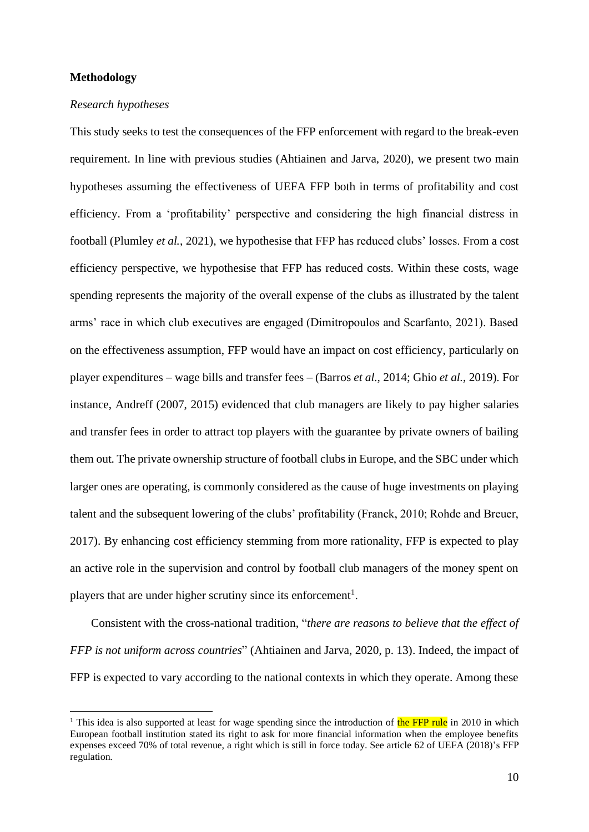#### **Methodology**

#### *Research hypotheses*

This study seeks to test the consequences of the FFP enforcement with regard to the break-even requirement. In line with previous studies (Ahtiainen and Jarva, 2020), we present two main hypotheses assuming the effectiveness of UEFA FFP both in terms of profitability and cost efficiency. From a 'profitability' perspective and considering the high financial distress in football (Plumley *et al.*, 2021), we hypothesise that FFP has reduced clubs' losses. From a cost efficiency perspective, we hypothesise that FFP has reduced costs. Within these costs, wage spending represents the majority of the overall expense of the clubs as illustrated by the talent arms' race in which club executives are engaged (Dimitropoulos and Scarfanto, 2021). Based on the effectiveness assumption, FFP would have an impact on cost efficiency, particularly on player expenditures – wage bills and transfer fees – (Barros *et al.*, 2014; Ghio *et al.*, 2019). For instance, Andreff (2007, 2015) evidenced that club managers are likely to pay higher salaries and transfer fees in order to attract top players with the guarantee by private owners of bailing them out. The private ownership structure of football clubs in Europe, and the SBC under which larger ones are operating, is commonly considered as the cause of huge investments on playing talent and the subsequent lowering of the clubs' profitability (Franck, 2010; Rohde and Breuer, 2017). By enhancing cost efficiency stemming from more rationality, FFP is expected to play an active role in the supervision and control by football club managers of the money spent on players that are under higher scrutiny since its enforcement<sup>1</sup>.

Consistent with the cross-national tradition, "*there are reasons to believe that the effect of FFP is not uniform across countries*" (Ahtiainen and Jarva, 2020, p. 13). Indeed, the impact of FFP is expected to vary according to the national contexts in which they operate. Among these

<sup>&</sup>lt;sup>1</sup> This idea is also supported at least for wage spending since the introduction of the FFP rule in 2010 in which European football institution stated its right to ask for more financial information when the employee benefits expenses exceed 70% of total revenue, a right which is still in force today. See article 62 of UEFA (2018)'s FFP regulation.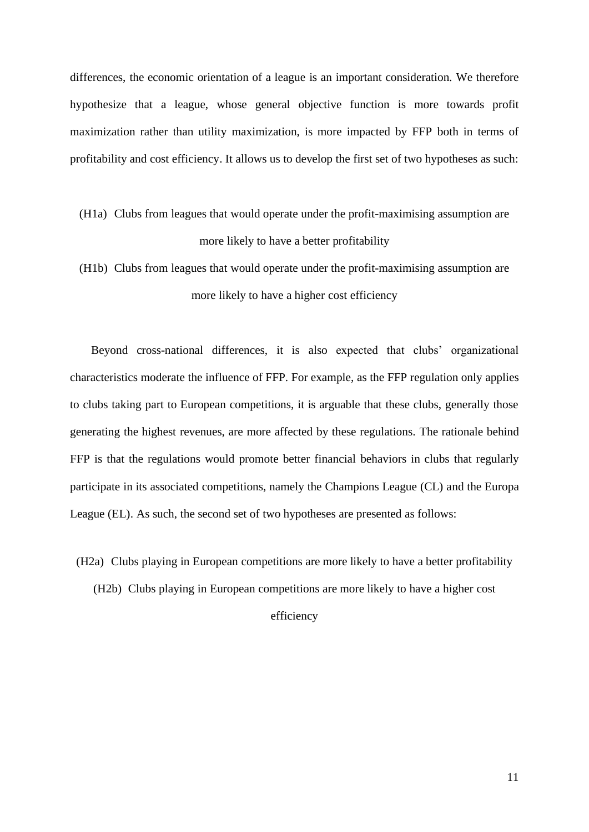differences, the economic orientation of a league is an important consideration. We therefore hypothesize that a league, whose general objective function is more towards profit maximization rather than utility maximization, is more impacted by FFP both in terms of profitability and cost efficiency. It allows us to develop the first set of two hypotheses as such:

- (H1a) Clubs from leagues that would operate under the profit-maximising assumption are more likely to have a better profitability
- (H1b) Clubs from leagues that would operate under the profit-maximising assumption are more likely to have a higher cost efficiency

Beyond cross-national differences, it is also expected that clubs' organizational characteristics moderate the influence of FFP. For example, as the FFP regulation only applies to clubs taking part to European competitions, it is arguable that these clubs, generally those generating the highest revenues, are more affected by these regulations. The rationale behind FFP is that the regulations would promote better financial behaviors in clubs that regularly participate in its associated competitions, namely the Champions League (CL) and the Europa League (EL). As such, the second set of two hypotheses are presented as follows:

(H2a) Clubs playing in European competitions are more likely to have a better profitability (H2b) Clubs playing in European competitions are more likely to have a higher cost

efficiency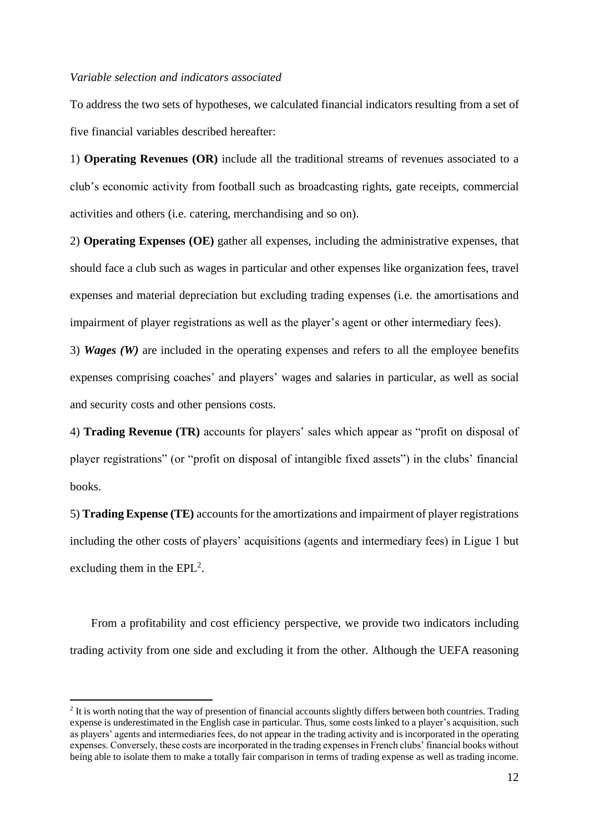#### *Variable selection and indicators associated*

To address the two sets of hypotheses, we calculated financial indicators resulting from a set of five financial variables described hereafter:

1) **Operating Revenues (OR)** include all the traditional streams of revenues associated to a club's economic activity from football such as broadcasting rights, gate receipts, commercial activities and others (i.e. catering, merchandising and so on).

2) **Operating Expenses (OE)** gather all expenses, including the administrative expenses, that should face a club such as wages in particular and other expenses like organization fees, travel expenses and material depreciation but excluding trading expenses (i.e. the amortisations and impairment of player registrations as well as the player's agent or other intermediary fees).

3) *Wages (W)* are included in the operating expenses and refers to all the employee benefits expenses comprising coaches' and players' wages and salaries in particular, as well as social and security costs and other pensions costs.

4) **Trading Revenue (TR)** accounts for players' sales which appear as "profit on disposal of player registrations" (or "profit on disposal of intangible fixed assets") in the clubs' financial books.

5) **Trading Expense (TE)** accounts for the amortizations and impairment of player registrations including the other costs of players' acquisitions (agents and intermediary fees) in Ligue 1 but excluding them in the  $EPL^2$ .

From a profitability and cost efficiency perspective, we provide two indicators including trading activity from one side and excluding it from the other. Although the UEFA reasoning

 $2$  It is worth noting that the way of presention of financial accounts slightly differs between both countries. Trading expense is underestimated in the English case in particular. Thus, some costs linked to a player's acquisition, such as players' agents and intermediaries fees, do not appear in the trading activity and is incorporated in the operating expenses. Conversely, these costs are incorporated in the trading expenses in French clubs' financial books without being able to isolate them to make a totally fair comparison in terms of trading expense as well as trading income.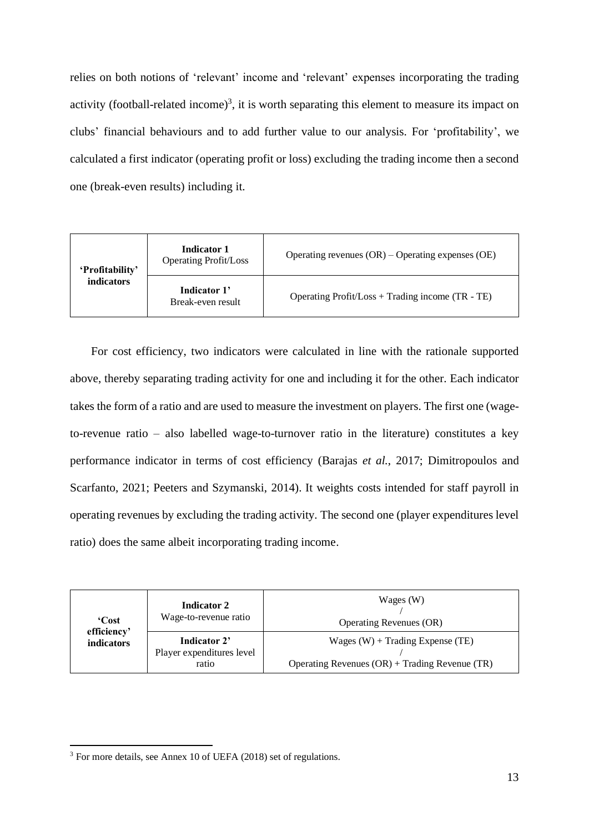relies on both notions of 'relevant' income and 'relevant' expenses incorporating the trading activity (football-related income)<sup>3</sup>, it is worth separating this element to measure its impact on clubs' financial behaviours and to add further value to our analysis. For 'profitability', we calculated a first indicator (operating profit or loss) excluding the trading income then a second one (break-even results) including it.

| 'Profitability'<br>indicators | <b>Indicator 1</b><br><b>Operating Profit/Loss</b> | Operating revenues $(OR)$ – Operating expenses $(OE)$ |  |  |  |  |
|-------------------------------|----------------------------------------------------|-------------------------------------------------------|--|--|--|--|
|                               | Indicator 1'<br>Break-even result                  | Operating $Profit / Loss + Trading income (TR - TE)$  |  |  |  |  |

For cost efficiency, two indicators were calculated in line with the rationale supported above, thereby separating trading activity for one and including it for the other. Each indicator takes the form of a ratio and are used to measure the investment on players. The first one (wageto-revenue ratio – also labelled wage-to-turnover ratio in the literature) constitutes a key performance indicator in terms of cost efficiency (Barajas *et al.*, 2017; Dimitropoulos and Scarfanto, 2021; Peeters and Szymanski, 2014). It weights costs intended for staff payroll in operating revenues by excluding the trading activity. The second one (player expenditures level ratio) does the same albeit incorporating trading income.

| 'Cost                     | <b>Indicator 2</b><br>Wage-to-revenue ratio        | Wages (W)<br><b>Operating Revenues (OR)</b>                                            |  |  |  |  |
|---------------------------|----------------------------------------------------|----------------------------------------------------------------------------------------|--|--|--|--|
| efficiency'<br>indicators | Indicator 2'<br>Player expenditures level<br>ratio | Wages $(W)$ + Trading Expense (TE)<br>Operating Revenues $(OR)$ + Trading Revenue (TR) |  |  |  |  |

<sup>3</sup> For more details, see Annex 10 of UEFA (2018) set of regulations.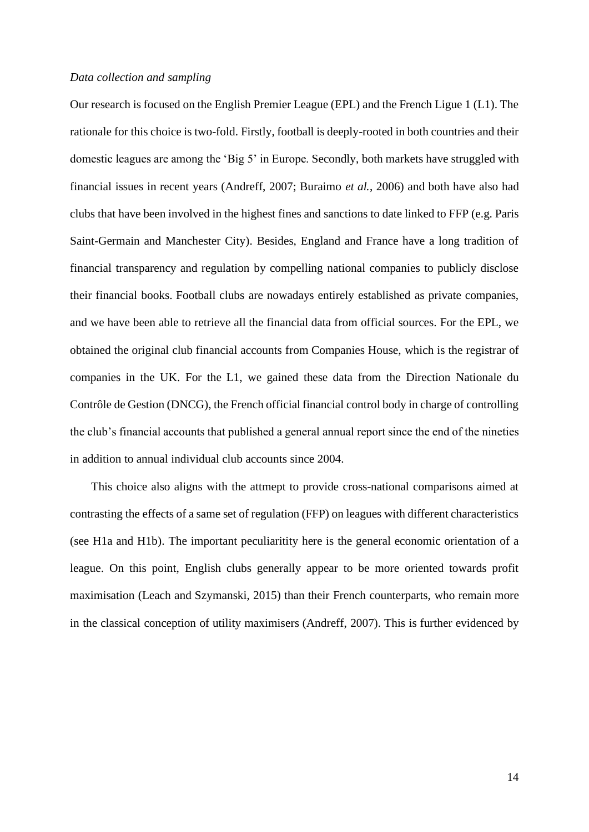#### *Data collection and sampling*

Our research is focused on the English Premier League (EPL) and the French Ligue 1 (L1). The rationale for this choice is two-fold. Firstly, football is deeply-rooted in both countries and their domestic leagues are among the 'Big 5' in Europe. Secondly, both markets have struggled with financial issues in recent years (Andreff, 2007; Buraimo *et al.*, 2006) and both have also had clubs that have been involved in the highest fines and sanctions to date linked to FFP (e.g. Paris Saint-Germain and Manchester City). Besides, England and France have a long tradition of financial transparency and regulation by compelling national companies to publicly disclose their financial books. Football clubs are nowadays entirely established as private companies, and we have been able to retrieve all the financial data from official sources. For the EPL, we obtained the original club financial accounts from Companies House, which is the registrar of companies in the UK. For the L1, we gained these data from the Direction Nationale du Contrôle de Gestion (DNCG), the French official financial control body in charge of controlling the club's financial accounts that published a general annual report since the end of the nineties in addition to annual individual club accounts since 2004.

This choice also aligns with the attmept to provide cross-national comparisons aimed at contrasting the effects of a same set of regulation (FFP) on leagues with different characteristics (see H1a and H1b). The important peculiaritity here is the general economic orientation of a league. On this point, English clubs generally appear to be more oriented towards profit maximisation (Leach and Szymanski, 2015) than their French counterparts, who remain more in the classical conception of utility maximisers (Andreff, 2007). This is further evidenced by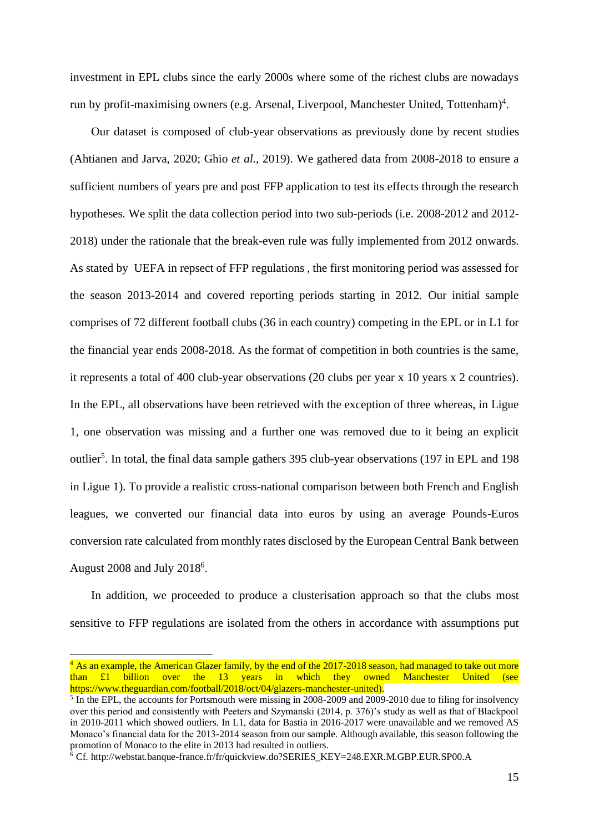investment in EPL clubs since the early 2000s where some of the richest clubs are nowadays run by profit-maximising owners (e.g. Arsenal, Liverpool, Manchester United, Tottenham)<sup>4</sup>.

Our dataset is composed of club-year observations as previously done by recent studies (Ahtianen and Jarva, 2020; Ghio *et al*., 2019). We gathered data from 2008-2018 to ensure a sufficient numbers of years pre and post FFP application to test its effects through the research hypotheses. We split the data collection period into two sub-periods (i.e. 2008-2012 and 2012- 2018) under the rationale that the break-even rule was fully implemented from 2012 onwards. As stated by UEFA in repsect of FFP regulations , the first monitoring period was assessed for the season 2013-2014 and covered reporting periods starting in 2012. Our initial sample comprises of 72 different football clubs (36 in each country) competing in the EPL or in L1 for the financial year ends 2008-2018. As the format of competition in both countries is the same, it represents a total of 400 club-year observations (20 clubs per year x 10 years x 2 countries). In the EPL, all observations have been retrieved with the exception of three whereas, in Ligue 1, one observation was missing and a further one was removed due to it being an explicit outlier<sup>5</sup>. In total, the final data sample gathers 395 club-year observations (197 in EPL and 198 in Ligue 1). To provide a realistic cross-national comparison between both French and English leagues, we converted our financial data into euros by using an average Pounds-Euros conversion rate calculated from monthly rates disclosed by the European Central Bank between August  $2008$  and July  $2018<sup>6</sup>$ .

In addition, we proceeded to produce a clusterisation approach so that the clubs most sensitive to FFP regulations are isolated from the others in accordance with assumptions put

 $4$  As an example, the American Glazer family, by the end of the 2017-2018 season, had managed to take out more than £1 billion over the 13 years in which they owned Manchester United (see https://www.theguardian.com/football/2018/oct/04/glazers-manchester-united).

<sup>&</sup>lt;sup>5</sup> In the EPL, the accounts for Portsmouth were missing in 2008-2009 and 2009-2010 due to filing for insolvency over this period and consistently with Peeters and Szymanski (2014, p. 376)'s study as well as that of Blackpool in 2010-2011 which showed outliers. In L1, data for Bastia in 2016-2017 were unavailable and we removed AS Monaco's financial data for the 2013-2014 season from our sample. Although available, this season following the promotion of Monaco to the elite in 2013 had resulted in outliers.

<sup>6</sup> Cf. http://webstat.banque-france.fr/fr/quickview.do?SERIES\_KEY=248.EXR.M.GBP.EUR.SP00.A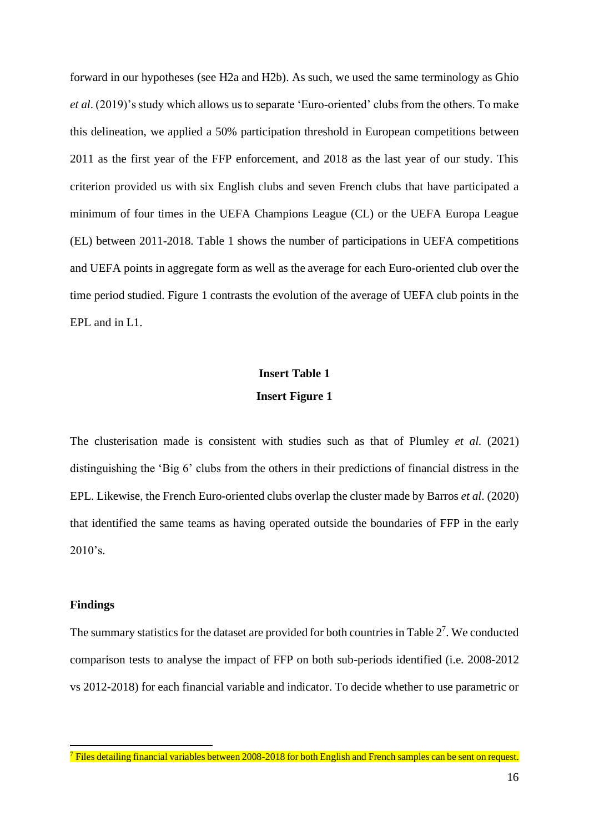forward in our hypotheses (see H2a and H2b). As such, we used the same terminology as Ghio *et al*. (2019)'s study which allows us to separate 'Euro-oriented' clubs from the others. To make this delineation, we applied a 50% participation threshold in European competitions between 2011 as the first year of the FFP enforcement, and 2018 as the last year of our study. This criterion provided us with six English clubs and seven French clubs that have participated a minimum of four times in the UEFA Champions League (CL) or the UEFA Europa League (EL) between 2011-2018. Table 1 shows the number of participations in UEFA competitions and UEFA points in aggregate form as well as the average for each Euro-oriented club over the time period studied. Figure 1 contrasts the evolution of the average of UEFA club points in the EPL and in L1.

## **Insert Table 1 Insert Figure 1**

The clusterisation made is consistent with studies such as that of Plumley *et al*. (2021) distinguishing the 'Big 6' clubs from the others in their predictions of financial distress in the EPL. Likewise, the French Euro-oriented clubs overlap the cluster made by Barros *et al*. (2020) that identified the same teams as having operated outside the boundaries of FFP in the early  $2010's.$ 

#### **Findings**

The summary statistics for the dataset are provided for both countries in Table  $2<sup>7</sup>$ . We conducted comparison tests to analyse the impact of FFP on both sub-periods identified (i.e. 2008-2012 vs 2012-2018) for each financial variable and indicator. To decide whether to use parametric or

<sup>&</sup>lt;sup>7</sup> Files detailing financial variables between 2008-2018 for both English and French samples can be sent on request.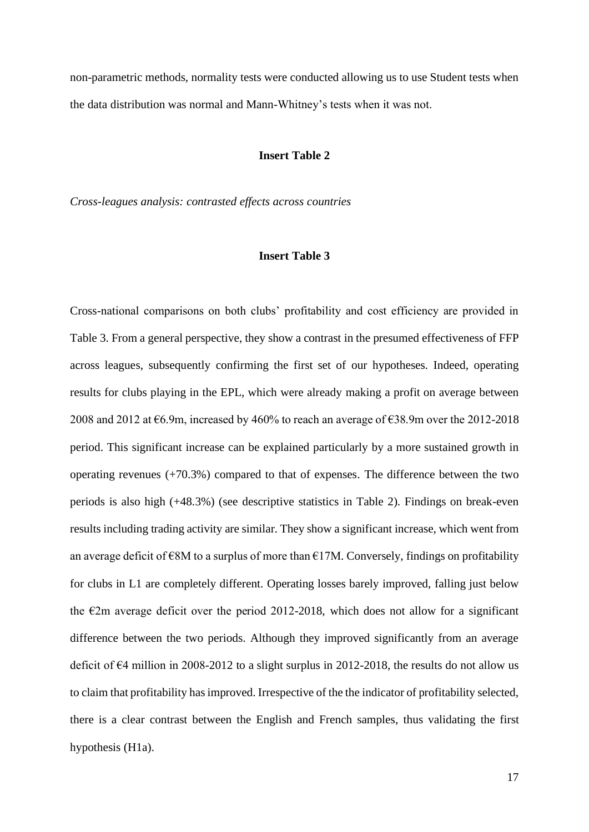non-parametric methods, normality tests were conducted allowing us to use Student tests when the data distribution was normal and Mann-Whitney's tests when it was not.

#### **Insert Table 2**

*Cross-leagues analysis: contrasted effects across countries*

#### **Insert Table 3**

Cross-national comparisons on both clubs' profitability and cost efficiency are provided in Table 3. From a general perspective, they show a contrast in the presumed effectiveness of FFP across leagues, subsequently confirming the first set of our hypotheses. Indeed, operating results for clubs playing in the EPL, which were already making a profit on average between 2008 and 2012 at €6.9m, increased by 460% to reach an average of €38.9m over the 2012-2018 period. This significant increase can be explained particularly by a more sustained growth in operating revenues (+70.3%) compared to that of expenses. The difference between the two periods is also high (+48.3%) (see descriptive statistics in Table 2). Findings on break-even results including trading activity are similar. They show a significant increase, which went from an average deficit of  $\epsilon$ 8M to a surplus of more than  $\epsilon$ 17M. Conversely, findings on profitability for clubs in L1 are completely different. Operating losses barely improved, falling just below the  $\epsilon$ 2m average deficit over the period 2012-2018, which does not allow for a significant difference between the two periods. Although they improved significantly from an average deficit of  $\epsilon$ 4 million in 2008-2012 to a slight surplus in 2012-2018, the results do not allow us to claim that profitability has improved. Irrespective of the the indicator of profitability selected, there is a clear contrast between the English and French samples, thus validating the first hypothesis (H1a).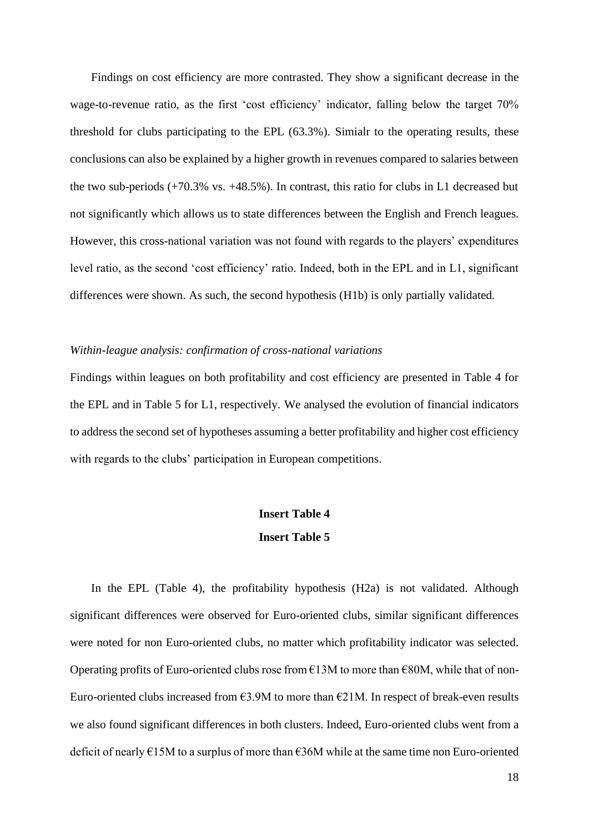Findings on cost efficiency are more contrasted. They show a significant decrease in the wage-to-revenue ratio, as the first 'cost efficiency' indicator, falling below the target 70% threshold for clubs participating to the EPL (63.3%). Simialr to the operating results, these conclusions can also be explained by a higher growth in revenues compared to salaries between the two sub-periods (+70.3% vs. +48.5%). In contrast, this ratio for clubs in L1 decreased but not significantly which allows us to state differences between the English and French leagues. However, this cross-national variation was not found with regards to the players' expenditures level ratio, as the second 'cost efficiency' ratio. Indeed, both in the EPL and in L1, significant differences were shown. As such, the second hypothesis (H1b) is only partially validated.

#### *Within-league analysis: confirmation of cross-national variations*

Findings within leagues on both profitability and cost efficiency are presented in Table 4 for the EPL and in Table 5 for L1, respectively. We analysed the evolution of financial indicators to address the second set of hypotheses assuming a better profitability and higher cost efficiency with regards to the clubs' participation in European competitions.

## **Insert Table 4 Insert Table 5**

In the EPL (Table 4), the profitability hypothesis (H2a) is not validated. Although significant differences were observed for Euro-oriented clubs, similar significant differences were noted for non Euro-oriented clubs, no matter which profitability indicator was selected. Operating profits of Euro-oriented clubs rose from  $E13M$  to more than  $E80M$ , while that of non-Euro-oriented clubs increased from  $63.9M$  to more than  $621M$ . In respect of break-even results we also found significant differences in both clusters. Indeed, Euro-oriented clubs went from a deficit of nearly €15M to a surplus of more than €36M while at the same time non Euro-oriented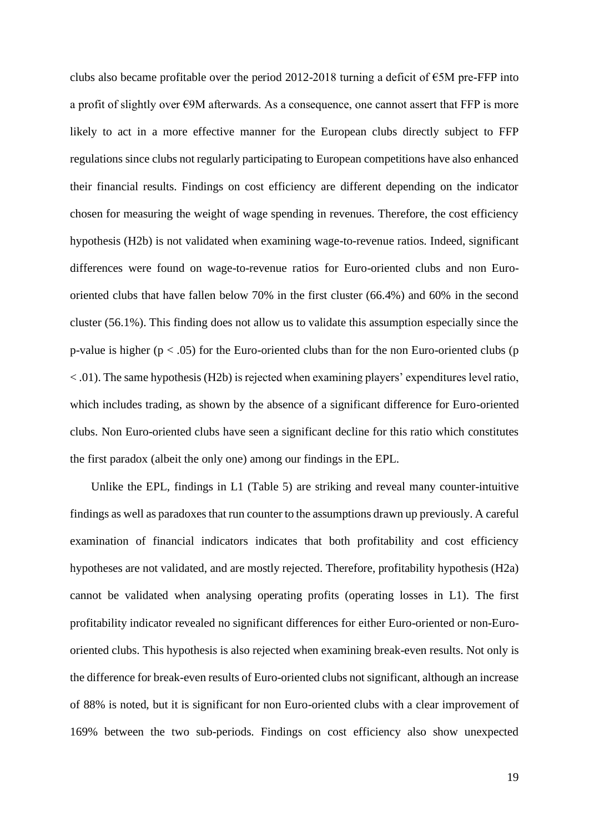clubs also became profitable over the period 2012-2018 turning a deficit of  $\epsilon$ 5M pre-FFP into a profit of slightly over  $E9M$  afterwards. As a consequence, one cannot assert that FFP is more likely to act in a more effective manner for the European clubs directly subject to FFP regulations since clubs not regularly participating to European competitions have also enhanced their financial results. Findings on cost efficiency are different depending on the indicator chosen for measuring the weight of wage spending in revenues. Therefore, the cost efficiency hypothesis (H2b) is not validated when examining wage-to-revenue ratios. Indeed, significant differences were found on wage-to-revenue ratios for Euro-oriented clubs and non Eurooriented clubs that have fallen below 70% in the first cluster (66.4%) and 60% in the second cluster (56.1%). This finding does not allow us to validate this assumption especially since the p-value is higher ( $p < .05$ ) for the Euro-oriented clubs than for the non Euro-oriented clubs ( $p$ )  $< .01$ ). The same hypothesis (H2b) is rejected when examining players' expenditures level ratio, which includes trading, as shown by the absence of a significant difference for Euro-oriented clubs. Non Euro-oriented clubs have seen a significant decline for this ratio which constitutes the first paradox (albeit the only one) among our findings in the EPL.

Unlike the EPL, findings in L1 (Table 5) are striking and reveal many counter-intuitive findings as well as paradoxes that run counter to the assumptions drawn up previously. A careful examination of financial indicators indicates that both profitability and cost efficiency hypotheses are not validated, and are mostly rejected. Therefore, profitability hypothesis (H2a) cannot be validated when analysing operating profits (operating losses in L1). The first profitability indicator revealed no significant differences for either Euro-oriented or non-Eurooriented clubs. This hypothesis is also rejected when examining break-even results. Not only is the difference for break-even results of Euro-oriented clubs not significant, although an increase of 88% is noted, but it is significant for non Euro-oriented clubs with a clear improvement of 169% between the two sub-periods. Findings on cost efficiency also show unexpected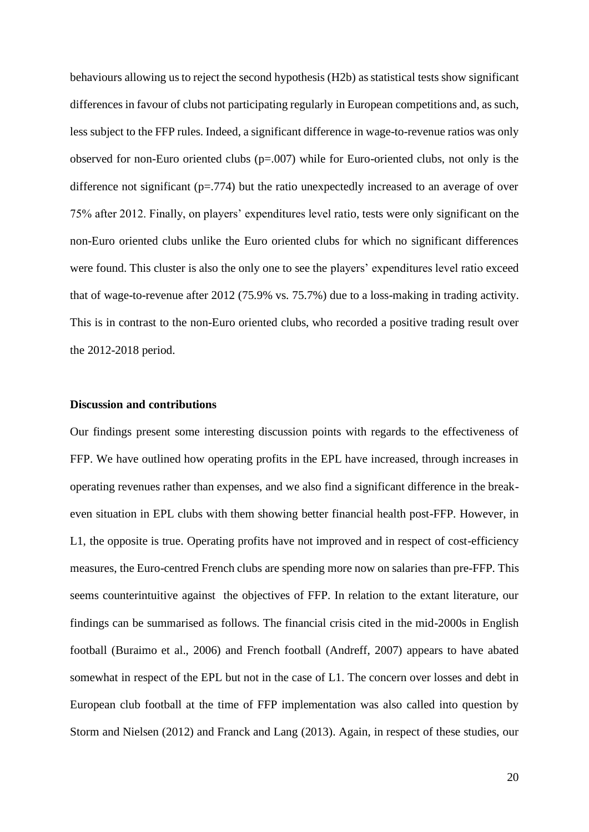behaviours allowing us to reject the second hypothesis (H2b) as statistical tests show significant differences in favour of clubs not participating regularly in European competitions and, as such, less subject to the FFP rules. Indeed, a significant difference in wage-to-revenue ratios was only observed for non-Euro oriented clubs  $(p=.007)$  while for Euro-oriented clubs, not only is the difference not significant (p=.774) but the ratio unexpectedly increased to an average of over 75% after 2012. Finally, on players' expenditures level ratio, tests were only significant on the non-Euro oriented clubs unlike the Euro oriented clubs for which no significant differences were found. This cluster is also the only one to see the players' expenditures level ratio exceed that of wage-to-revenue after 2012 (75.9% vs. 75.7%) due to a loss-making in trading activity. This is in contrast to the non-Euro oriented clubs, who recorded a positive trading result over the 2012-2018 period.

#### **Discussion and contributions**

Our findings present some interesting discussion points with regards to the effectiveness of FFP. We have outlined how operating profits in the EPL have increased, through increases in operating revenues rather than expenses, and we also find a significant difference in the breakeven situation in EPL clubs with them showing better financial health post-FFP. However, in L1, the opposite is true. Operating profits have not improved and in respect of cost-efficiency measures, the Euro-centred French clubs are spending more now on salaries than pre-FFP. This seems counterintuitive against the objectives of FFP. In relation to the extant literature, our findings can be summarised as follows. The financial crisis cited in the mid-2000s in English football (Buraimo et al., 2006) and French football (Andreff, 2007) appears to have abated somewhat in respect of the EPL but not in the case of L1. The concern over losses and debt in European club football at the time of FFP implementation was also called into question by Storm and Nielsen (2012) and Franck and Lang (2013). Again, in respect of these studies, our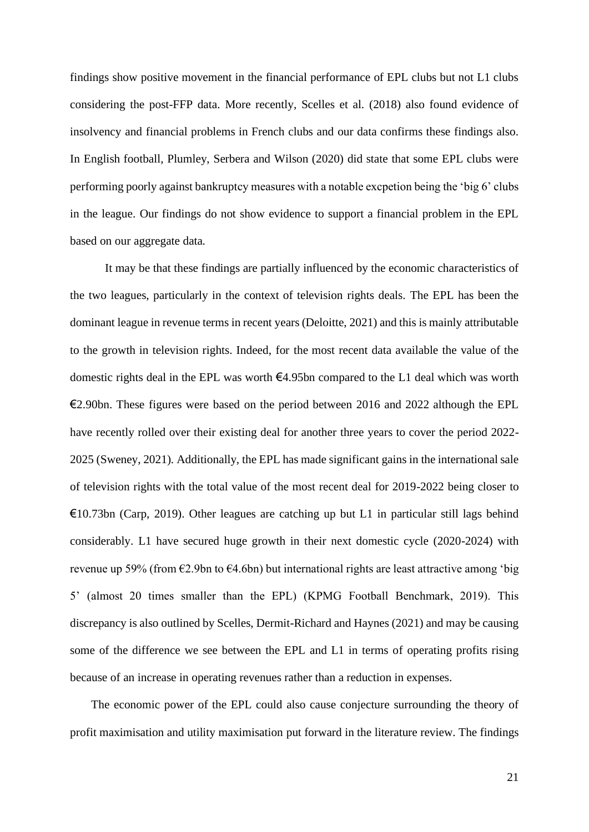findings show positive movement in the financial performance of EPL clubs but not L1 clubs considering the post-FFP data. More recently, Scelles et al. (2018) also found evidence of insolvency and financial problems in French clubs and our data confirms these findings also. In English football, Plumley, Serbera and Wilson (2020) did state that some EPL clubs were performing poorly against bankruptcy measures with a notable excpetion being the 'big 6' clubs in the league. Our findings do not show evidence to support a financial problem in the EPL based on our aggregate data.

It may be that these findings are partially influenced by the economic characteristics of the two leagues, particularly in the context of television rights deals. The EPL has been the dominant league in revenue terms in recent years (Deloitte, 2021) and this is mainly attributable to the growth in television rights. Indeed, for the most recent data available the value of the domestic rights deal in the EPL was worth €4.95bn compared to the L1 deal which was worth  $\epsilon$ 2.90bn. These figures were based on the period between 2016 and 2022 although the EPL have recently rolled over their existing deal for another three years to cover the period 2022- 2025 (Sweney, 2021). Additionally, the EPL has made significant gains in the international sale of television rights with the total value of the most recent deal for 2019-2022 being closer to  $\epsilon$ 10.73bn (Carp, 2019). Other leagues are catching up but L1 in particular still lags behind considerably. L1 have secured huge growth in their next domestic cycle (2020-2024) with revenue up 59% (from €2.9bn to €4.6bn) but international rights are least attractive among 'big 5' (almost 20 times smaller than the EPL) (KPMG Football Benchmark, 2019). This discrepancy is also outlined by Scelles, Dermit-Richard and Haynes (2021) and may be causing some of the difference we see between the EPL and L1 in terms of operating profits rising because of an increase in operating revenues rather than a reduction in expenses.

The economic power of the EPL could also cause conjecture surrounding the theory of profit maximisation and utility maximisation put forward in the literature review. The findings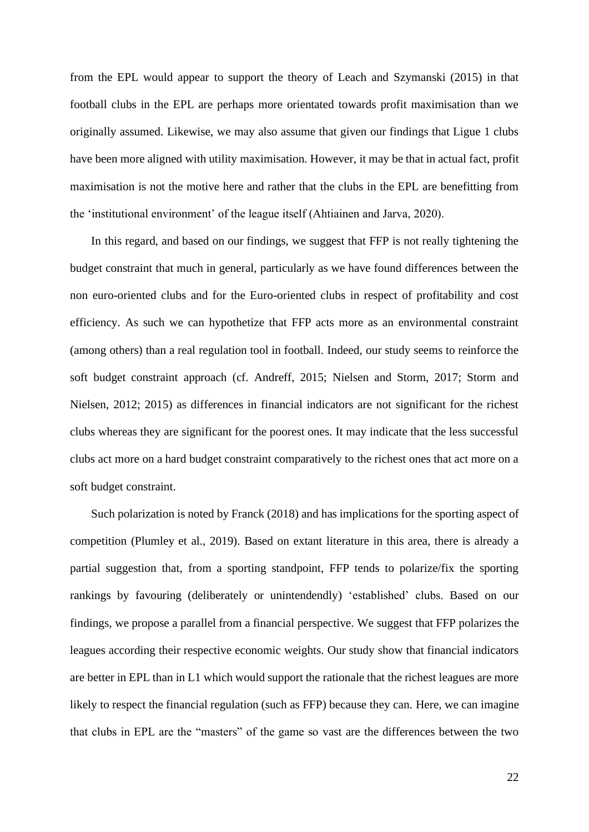from the EPL would appear to support the theory of Leach and Szymanski (2015) in that football clubs in the EPL are perhaps more orientated towards profit maximisation than we originally assumed. Likewise, we may also assume that given our findings that Ligue 1 clubs have been more aligned with utility maximisation. However, it may be that in actual fact, profit maximisation is not the motive here and rather that the clubs in the EPL are benefitting from the 'institutional environment' of the league itself (Ahtiainen and Jarva, 2020).

In this regard, and based on our findings, we suggest that FFP is not really tightening the budget constraint that much in general, particularly as we have found differences between the non euro-oriented clubs and for the Euro-oriented clubs in respect of profitability and cost efficiency. As such we can hypothetize that FFP acts more as an environmental constraint (among others) than a real regulation tool in football. Indeed, our study seems to reinforce the soft budget constraint approach (cf. Andreff, 2015; Nielsen and Storm, 2017; Storm and Nielsen, 2012; 2015) as differences in financial indicators are not significant for the richest clubs whereas they are significant for the poorest ones. It may indicate that the less successful clubs act more on a hard budget constraint comparatively to the richest ones that act more on a soft budget constraint.

Such polarization is noted by Franck (2018) and has implications for the sporting aspect of competition (Plumley et al., 2019). Based on extant literature in this area, there is already a partial suggestion that, from a sporting standpoint, FFP tends to polarize/fix the sporting rankings by favouring (deliberately or unintendendly) 'established' clubs. Based on our findings, we propose a parallel from a financial perspective. We suggest that FFP polarizes the leagues according their respective economic weights. Our study show that financial indicators are better in EPL than in L1 which would support the rationale that the richest leagues are more likely to respect the financial regulation (such as FFP) because they can. Here, we can imagine that clubs in EPL are the "masters" of the game so vast are the differences between the two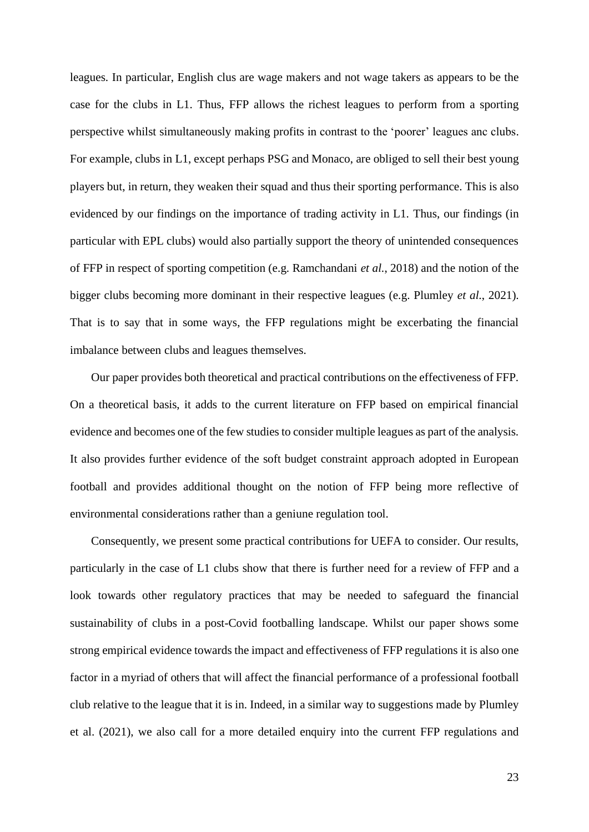leagues. In particular, English clus are wage makers and not wage takers as appears to be the case for the clubs in L1. Thus, FFP allows the richest leagues to perform from a sporting perspective whilst simultaneously making profits in contrast to the 'poorer' leagues anc clubs. For example, clubs in L1, except perhaps PSG and Monaco, are obliged to sell their best young players but, in return, they weaken their squad and thus their sporting performance. This is also evidenced by our findings on the importance of trading activity in L1. Thus, our findings (in particular with EPL clubs) would also partially support the theory of unintended consequences of FFP in respect of sporting competition (e.g. Ramchandani *et al*., 2018) and the notion of the bigger clubs becoming more dominant in their respective leagues (e.g. Plumley *et al*., 2021). That is to say that in some ways, the FFP regulations might be excerbating the financial imbalance between clubs and leagues themselves.

Our paper provides both theoretical and practical contributions on the effectiveness of FFP. On a theoretical basis, it adds to the current literature on FFP based on empirical financial evidence and becomes one of the few studies to consider multiple leagues as part of the analysis. It also provides further evidence of the soft budget constraint approach adopted in European football and provides additional thought on the notion of FFP being more reflective of environmental considerations rather than a geniune regulation tool.

Consequently, we present some practical contributions for UEFA to consider. Our results, particularly in the case of L1 clubs show that there is further need for a review of FFP and a look towards other regulatory practices that may be needed to safeguard the financial sustainability of clubs in a post-Covid footballing landscape. Whilst our paper shows some strong empirical evidence towards the impact and effectiveness of FFP regulations it is also one factor in a myriad of others that will affect the financial performance of a professional football club relative to the league that it is in. Indeed, in a similar way to suggestions made by Plumley et al. (2021), we also call for a more detailed enquiry into the current FFP regulations and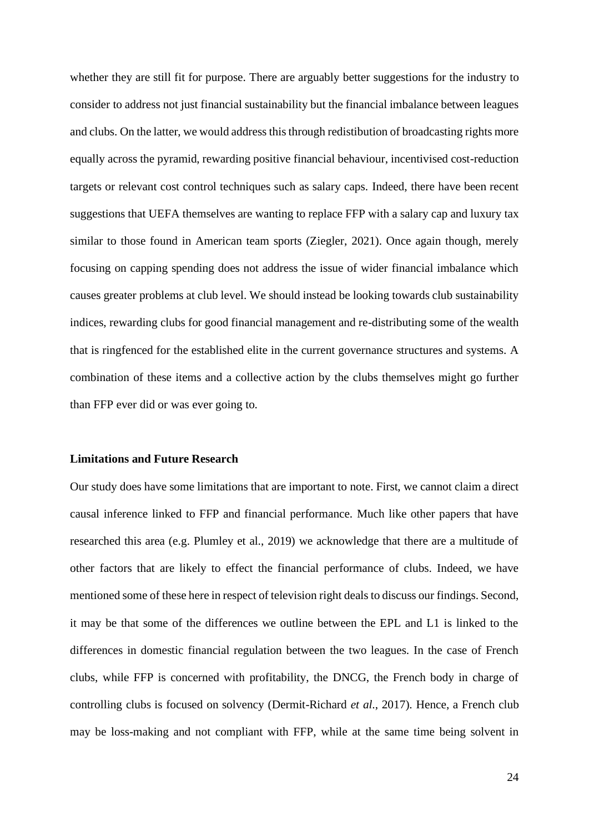whether they are still fit for purpose. There are arguably better suggestions for the industry to consider to address not just financial sustainability but the financial imbalance between leagues and clubs. On the latter, we would address this through redistibution of broadcasting rights more equally across the pyramid, rewarding positive financial behaviour, incentivised cost-reduction targets or relevant cost control techniques such as salary caps. Indeed, there have been recent suggestions that UEFA themselves are wanting to replace FFP with a salary cap and luxury tax similar to those found in American team sports (Ziegler, 2021). Once again though, merely focusing on capping spending does not address the issue of wider financial imbalance which causes greater problems at club level. We should instead be looking towards club sustainability indices, rewarding clubs for good financial management and re-distributing some of the wealth that is ringfenced for the established elite in the current governance structures and systems. A combination of these items and a collective action by the clubs themselves might go further than FFP ever did or was ever going to.

#### **Limitations and Future Research**

Our study does have some limitations that are important to note. First, we cannot claim a direct causal inference linked to FFP and financial performance. Much like other papers that have researched this area (e.g. Plumley et al., 2019) we acknowledge that there are a multitude of other factors that are likely to effect the financial performance of clubs. Indeed, we have mentioned some of these here in respect of television right deals to discuss our findings. Second, it may be that some of the differences we outline between the EPL and L1 is linked to the differences in domestic financial regulation between the two leagues. In the case of French clubs, while FFP is concerned with profitability, the DNCG, the French body in charge of controlling clubs is focused on solvency (Dermit-Richard *et al*., 2017). Hence, a French club may be loss-making and not compliant with FFP, while at the same time being solvent in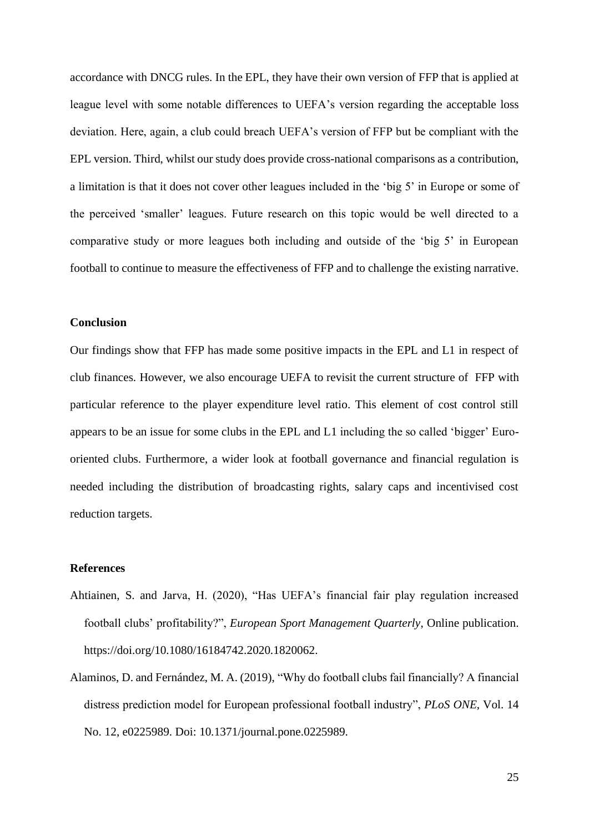accordance with DNCG rules. In the EPL, they have their own version of FFP that is applied at league level with some notable differences to UEFA's version regarding the acceptable loss deviation. Here, again, a club could breach UEFA's version of FFP but be compliant with the EPL version. Third, whilst our study does provide cross-national comparisons as a contribution, a limitation is that it does not cover other leagues included in the 'big 5' in Europe or some of the perceived 'smaller' leagues. Future research on this topic would be well directed to a comparative study or more leagues both including and outside of the 'big 5' in European football to continue to measure the effectiveness of FFP and to challenge the existing narrative.

### **Conclusion**

Our findings show that FFP has made some positive impacts in the EPL and L1 in respect of club finances. However, we also encourage UEFA to revisit the current structure of FFP with particular reference to the player expenditure level ratio. This element of cost control still appears to be an issue for some clubs in the EPL and L1 including the so called 'bigger' Eurooriented clubs. Furthermore, a wider look at football governance and financial regulation is needed including the distribution of broadcasting rights, salary caps and incentivised cost reduction targets.

#### **References**

- Ahtiainen, S. and Jarva, H. (2020), "Has UEFA's financial fair play regulation increased football clubs' profitability?", *European Sport Management Quarterly*, Online publication. https://doi.org/10.1080/16184742.2020.1820062.
- Alaminos, D. and Fernández, M. A. (2019), "Why do football clubs fail financially? A financial distress prediction model for European professional football industry", *PLoS ONE*, Vol. 14 No. 12, e0225989. Doi: 10.1371/journal.pone.0225989.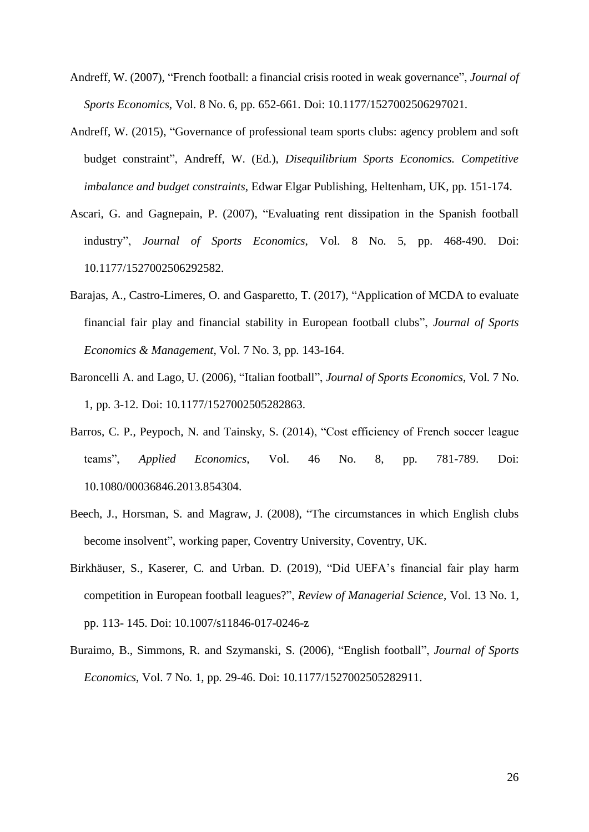- Andreff, W. (2007), "French football: a financial crisis rooted in weak governance", *Journal of Sports Economics*, Vol. 8 No. 6, pp. 652-661. Doi: 10.1177/1527002506297021.
- Andreff, W. (2015), "Governance of professional team sports clubs: agency problem and soft budget constraint", Andreff, W. (Ed.), *Disequilibrium Sports Economics. Competitive imbalance and budget constraints*, Edwar Elgar Publishing, Heltenham, UK, pp. 151-174.
- Ascari, G. and Gagnepain, P. (2007), "Evaluating rent dissipation in the Spanish football industry", *Journal of Sports Economics*, Vol. 8 No. 5, pp. 468-490. Doi: 10.1177/1527002506292582.
- Barajas, A., Castro-Limeres, O. and Gasparetto, T. (2017), "Application of MCDA to evaluate financial fair play and financial stability in European football clubs", *Journal of Sports Economics & Management*, Vol. 7 No. 3, pp. 143-164.
- Baroncelli A. and Lago, U. (2006), "Italian football", *Journal of Sports Economics*, Vol. 7 No. 1, pp. 3-12. Doi: 10.1177/1527002505282863.
- Barros, C. P., Peypoch, N. and Tainsky, S. (2014), "Cost efficiency of French soccer league teams", *Applied Economics*, Vol. 46 No. 8, pp. 781-789. Doi: 10.1080/00036846.2013.854304.
- Beech, J., Horsman, S. and Magraw, J. (2008), "The circumstances in which English clubs become insolvent", working paper, Coventry University, Coventry, UK.
- Birkhäuser, S., Kaserer, C. and Urban. D. (2019), "Did UEFA's financial fair play harm competition in European football leagues?", *Review of Managerial Science*, Vol. 13 No. 1, pp. 113- 145. Doi: 10.1007/s11846-017-0246-z
- Buraimo, B., Simmons, R. and Szymanski, S. (2006), "English football", *Journal of Sports Economics*, Vol. 7 No. 1, pp. 29-46. Doi: 10.1177/1527002505282911.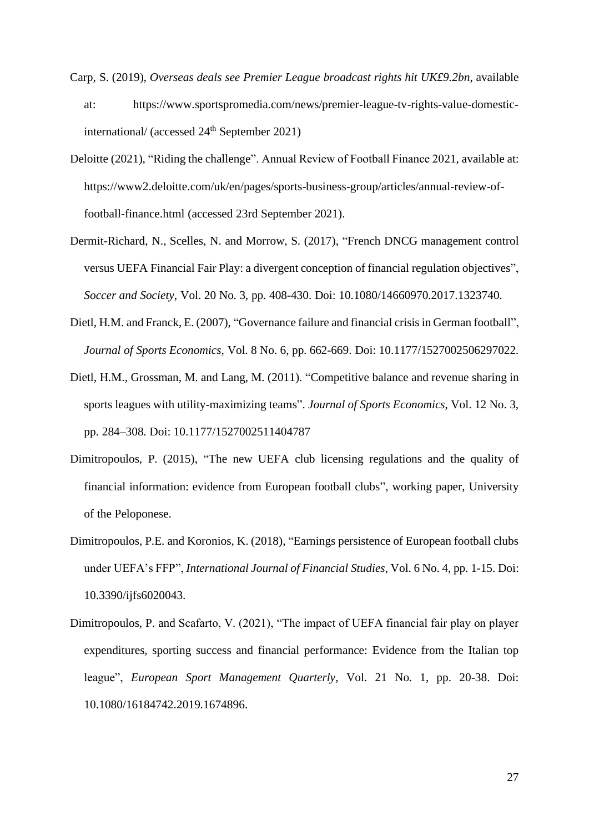- Carp, S. (2019), *Overseas deals see Premier League broadcast rights hit UK£9.2bn*, available at: https://www.sportspromedia.com/news/premier-league-tv-rights-value-domesticinternational/ (accessed  $24<sup>th</sup>$  September 2021)
- Deloitte (2021), "Riding the challenge". Annual Review of Football Finance 2021, available at: https://www2.deloitte.com/uk/en/pages/sports-business-group/articles/annual-review-offootball-finance.html (accessed 23rd September 2021).
- Dermit-Richard, N., Scelles, N. and Morrow, S. (2017), "French DNCG management control versus UEFA Financial Fair Play: a divergent conception of financial regulation objectives", *Soccer and Society*, Vol. 20 No. 3, pp. 408-430. Doi: 10.1080/14660970.2017.1323740.
- Dietl, H.M. and Franck, E. (2007), "Governance failure and financial crisis in German football", *Journal of Sports Economics*, Vol. 8 No. 6, pp. 662-669. Doi: 10.1177/1527002506297022.
- Dietl, H.M., Grossman, M. and Lang, M. (2011). "Competitive balance and revenue sharing in sports leagues with utility-maximizing teams". *Journal of Sports Economics*, Vol. 12 No. 3, pp. 284–308. Doi: 10.1177/1527002511404787
- Dimitropoulos, P. (2015), "The new UEFA club licensing regulations and the quality of financial information: evidence from European football clubs", working paper, University of the Peloponese.
- Dimitropoulos, P.E. and Koronios, K. (2018), "Earnings persistence of European football clubs under UEFA's FFP", *International Journal of Financial Studies*, Vol. 6 No. 4, pp. 1-15. Doi: 10.3390/ijfs6020043.
- Dimitropoulos, P. and Scafarto, V. (2021), "The impact of UEFA financial fair play on player expenditures, sporting success and financial performance: Evidence from the Italian top league", *European Sport Management Quarterly*, Vol. 21 No. 1, pp. 20-38. Doi: 10.1080/16184742.2019.1674896.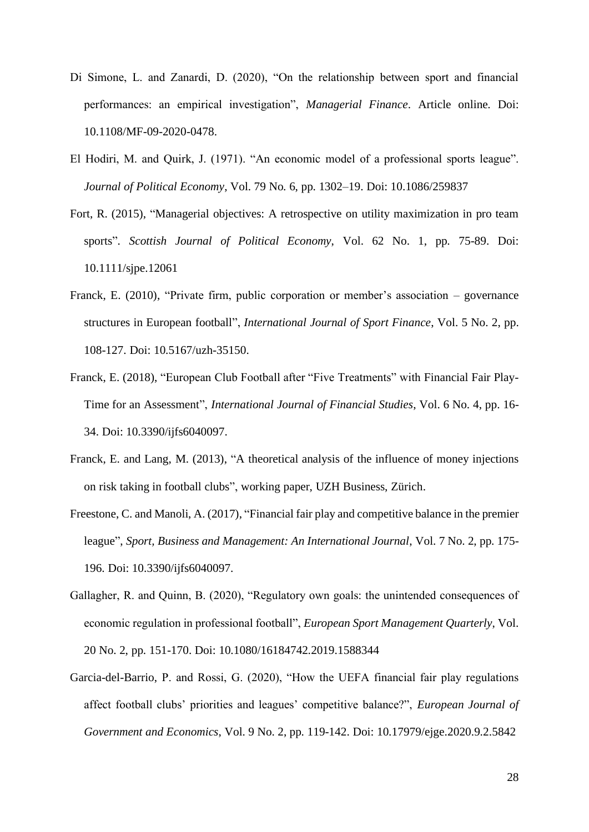- Di Simone, L. and Zanardi, D. (2020), "On the relationship between sport and financial performances: an empirical investigation", *Managerial Finance*. Article online. Doi: 10.1108/MF-09-2020-0478.
- El Hodiri, M. and Quirk, J. (1971). "An economic model of a professional sports league". *Journal of Political Economy*, Vol. 79 No. 6, pp. 1302–19. Doi: 10.1086/259837
- Fort, R. (2015), "Managerial objectives: A retrospective on utility maximization in pro team sports". *Scottish Journal of Political Economy*, Vol. 62 No. 1, pp. 75-89. Doi: 10.1111/sjpe.12061
- Franck, E. (2010), "Private firm, public corporation or member's association governance structures in European football", *International Journal of Sport Finance*, Vol. 5 No. 2, pp. 108-127. Doi: 10.5167/uzh-35150.
- Franck, E. (2018), "European Club Football after "Five Treatments" with Financial Fair Play-Time for an Assessment", *International Journal of Financial Studies*, Vol. 6 No. 4, pp. 16- 34. Doi: 10.3390/ijfs6040097.
- Franck, E. and Lang, M. (2013), "A theoretical analysis of the influence of money injections on risk taking in football clubs", working paper, UZH Business, Zürich.
- Freestone, C. and Manoli, A. (2017), "Financial fair play and competitive balance in the premier league", *Sport, Business and Management: An International Journal*, Vol. 7 No. 2, pp. 175- 196. Doi: 10.3390/ijfs6040097.
- Gallagher, R. and Quinn, B. (2020), "Regulatory own goals: the unintended consequences of economic regulation in professional football", *European Sport Management Quarterly*, Vol. 20 No. 2, pp. 151-170. Doi: 10.1080/16184742.2019.1588344
- Garcia-del-Barrio, P. and Rossi, G. (2020), "How the UEFA financial fair play regulations affect football clubs' priorities and leagues' competitive balance?", *European Journal of Government and Economics*, Vol. 9 No. 2, pp. 119-142. Doi: 10.17979/ejge.2020.9.2.5842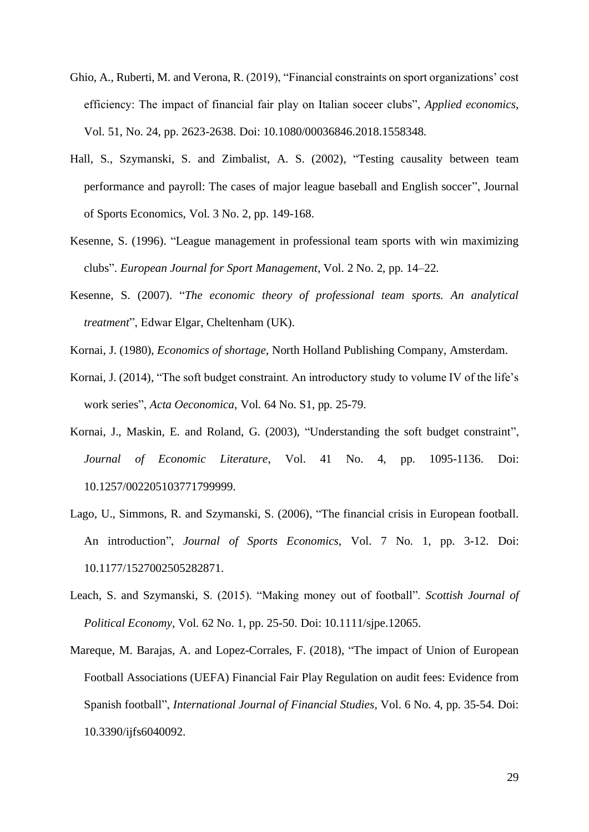- Ghio, A., Ruberti, M. and Verona, R. (2019), "Financial constraints on sport organizations' cost efficiency: The impact of financial fair play on Italian soceer clubs", *Applied economics*, Vol. 51, No. 24, pp. 2623-2638. Doi: 10.1080/00036846.2018.1558348.
- Hall, S., Szymanski, S. and Zimbalist, A. S. (2002), "Testing causality between team performance and payroll: The cases of major league baseball and English soccer", Journal of Sports Economics, Vol. 3 No. 2, pp. 149-168.
- Kesenne, S. (1996). "League management in professional team sports with win maximizing clubs". *European Journal for Sport Management*, Vol. 2 No. 2, pp. 14–22.
- Kesenne, S. (2007). "*The economic theory of professional team sports. An analytical treatment*", Edwar Elgar, Cheltenham (UK).
- Kornai, J. (1980), *Economics of shortage*, North Holland Publishing Company, Amsterdam.
- Kornai, J. (2014), "The soft budget constraint. An introductory study to volume IV of the life's work series", *Acta Oeconomica*, Vol. 64 No. S1, pp. 25-79.
- Kornai, J., Maskin, E. and Roland, G. (2003), "Understanding the soft budget constraint", *Journal of Economic Literature*, Vol. 41 No. 4, pp. 1095-1136. Doi: 10.1257/002205103771799999.
- Lago, U., Simmons, R. and Szymanski, S. (2006), "The financial crisis in European football. An introduction", *Journal of Sports Economics*, Vol. 7 No. 1, pp. 3-12. Doi: 10.1177/1527002505282871.
- Leach, S. and Szymanski, S. (2015). "Making money out of football". *Scottish Journal of Political Economy*, Vol. 62 No. 1, pp. 25-50. Doi: 10.1111/sjpe.12065.
- Mareque, M. Barajas, A. and Lopez-Corrales, F. (2018), "The impact of Union of European Football Associations (UEFA) Financial Fair Play Regulation on audit fees: Evidence from Spanish football", *International Journal of Financial Studies*, Vol. 6 No. 4, pp. 35-54. Doi: 10.3390/ijfs6040092.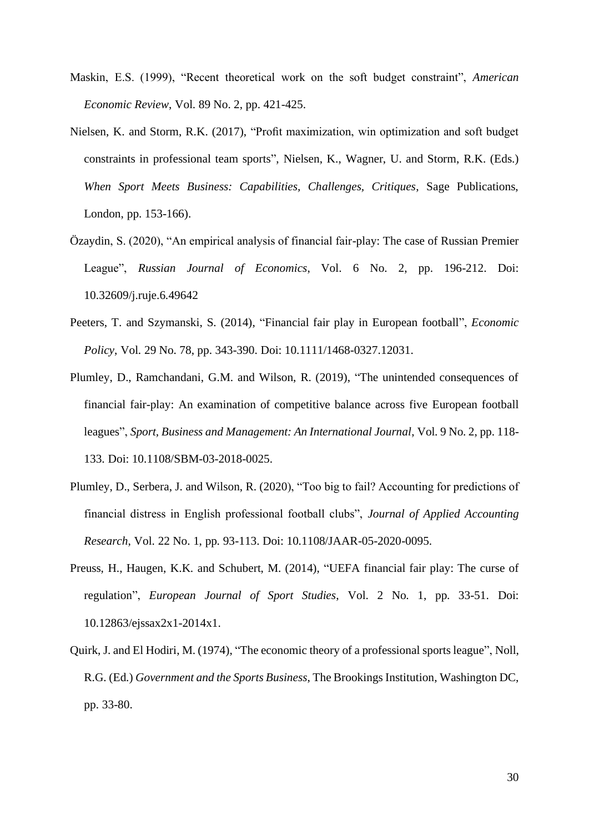- Maskin, E.S. (1999), "Recent theoretical work on the soft budget constraint", *American Economic Review*, Vol. 89 No. 2, pp. 421-425.
- Nielsen, K. and Storm, R.K. (2017), "Profit maximization, win optimization and soft budget constraints in professional team sports", Nielsen, K., Wagner, U. and Storm, R.K. (Eds.) *When Sport Meets Business: Capabilities, Challenges, Critiques*, Sage Publications, London, pp. 153-166).
- Özaydin, S. (2020), "An empirical analysis of financial fair-play: The case of Russian Premier League", *Russian Journal of Economics*, Vol. 6 No. 2, pp. 196-212. Doi: 10.32609/j.ruje.6.49642
- Peeters, T. and Szymanski, S. (2014), "Financial fair play in European football", *Economic Policy*, Vol. 29 No. 78, pp. 343-390. Doi: 10.1111/1468-0327.12031.
- Plumley, D., Ramchandani, G.M. and Wilson, R. (2019), "The unintended consequences of financial fair-play: An examination of competitive balance across five European football leagues", *Sport, Business and Management: An International Journal*, Vol. 9 No. 2, pp. 118- 133. Doi: 10.1108/SBM-03-2018-0025.
- Plumley, D., Serbera, J. and Wilson, R. (2020), "Too big to fail? Accounting for predictions of financial distress in English professional football clubs", *Journal of Applied Accounting Research*, Vol. 22 No. 1, pp. 93-113. Doi: 10.1108/JAAR-05-2020-0095.
- Preuss, H., Haugen, K.K. and Schubert, M. (2014), "UEFA financial fair play: The curse of regulation", *European Journal of Sport Studies*, Vol. 2 No. 1, pp. 33-51. Doi: 10.12863/ejssax2x1-2014x1.
- Quirk, J. and El Hodiri, M. (1974), "The economic theory of a professional sports league", Noll, R.G. (Ed.) *Government and the Sports Business*, The Brookings Institution, Washington DC, pp. 33-80.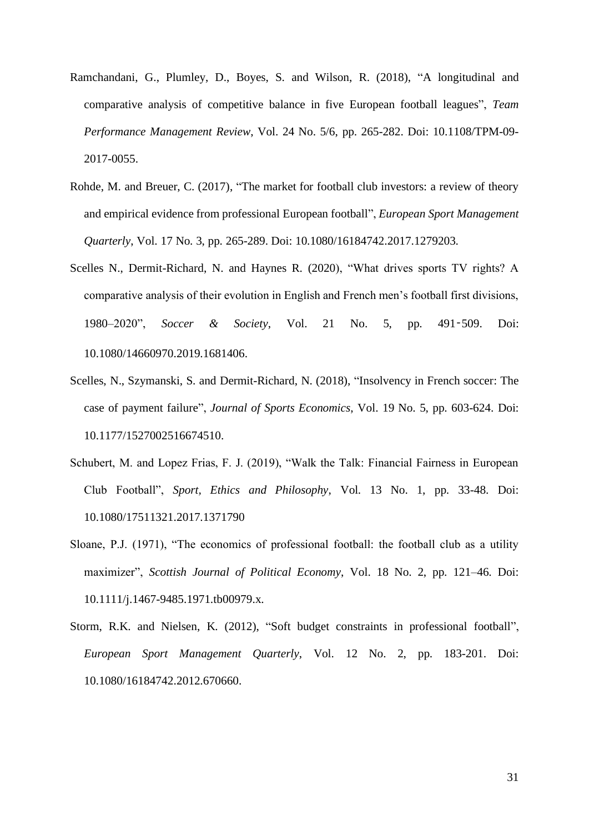- Ramchandani, G., Plumley, D., Boyes, S. and Wilson, R. (2018), "A longitudinal and comparative analysis of competitive balance in five European football leagues", *Team Performance Management Review*, Vol. 24 No. 5/6, pp. 265-282. Doi: 10.1108/TPM-09- 2017-0055.
- Rohde, M. and Breuer, C. (2017), "The market for football club investors: a review of theory and empirical evidence from professional European football", *European Sport Management Quarterly*, Vol. 17 No. 3, pp. 265-289. Doi: 10.1080/16184742.2017.1279203.
- Scelles N., Dermit-Richard, N. and Haynes R. (2020), "What drives sports TV rights? A comparative analysis of their evolution in English and French men's football first divisions, 1980–2020", *Soccer & Society*, [Vol.](http://url310.tandfonline.com/ls/click?upn=odl8Fji2pFaByYDqV3bjGMQo8st9of2228V6AcSFNq3cItTbkGC-2FWUgeB4wb9i-2Bpxqkzal9Xhma28CQxnjlP7AcxDgRMSHB7pOEAQooBdv8RvK1B6VMuuUFkaOPNzrhGLhQL_idn9CgELJkW3uvM00Zj90q1BIpWI4-2F-2Bt-2FIOf7g0JCGtPeMPwbvTM5w8XvrXp1JZX2W5-2BHgrBaJD2iVhDeF-2FAydaSkpCtQmCUb6qLKDdoHn16ENA3uJbNmODZ2sWjZRtimlrWZl-2Bzt6plA19cP6oFxrxTGwmNq3EXdT3BBz8A7Htqq3SQ0gRHR-2BmejFvkRH-2BX5p3qBRe6okMzS-2Ffb4V3VJL4weMGnDqev-2BEWeWgZHu1pjqVSx5LmiOuRMn1NPPMxFv0-2BHpkXwQoquAsS4cF-2BdRpYBGhnjEgPX5NFjVj7HiEA-3D) 21 No. 5, pp. 491‑509. Doi: 10.1080/14660970.2019.1681406.
- Scelles, N., Szymanski, S. and Dermit-Richard, N. (2018), "Insolvency in French soccer: The case of payment failure", *Journal of Sports Economics*, Vol. 19 No. 5, pp. 603-624. Doi: 10.1177/1527002516674510.
- Schubert, M. and Lopez Frias, F. J. (2019), "Walk the Talk: Financial Fairness in European Club Football", *Sport, Ethics and Philosophy*, Vol. 13 No. 1, pp. 33-48. Doi: 10.1080/17511321.2017.1371790
- Sloane, P.J. (1971), "The economics of professional football: the football club as a utility maximizer", *Scottish Journal of Political Economy*, Vol. 18 No. 2, pp. 121–46. Doi: 10.1111/j.1467-9485.1971.tb00979.x.
- Storm, R.K. and Nielsen, K. (2012), "Soft budget constraints in professional football", *European Sport Management Quarterly*, Vol. 12 No. 2, pp. 183-201. Doi: 10.1080/16184742.2012.670660.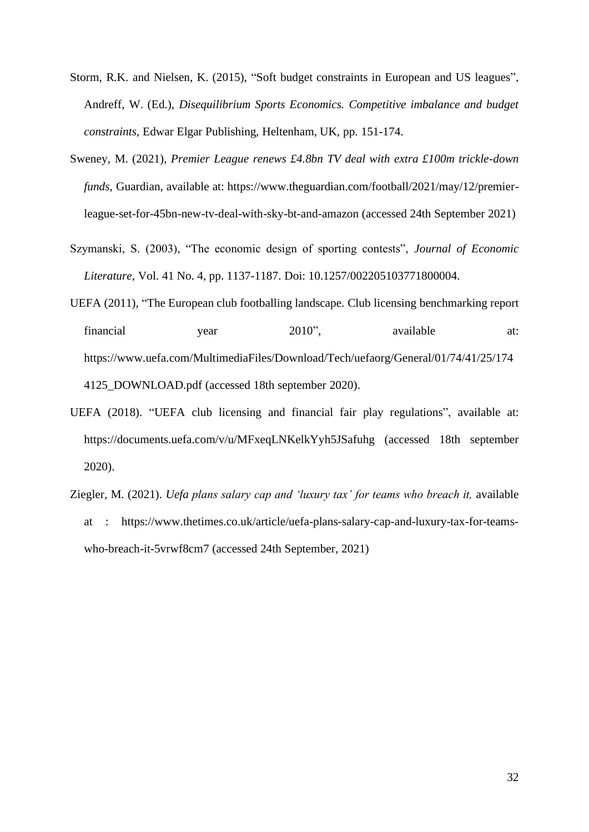- Storm, R.K. and Nielsen, K. (2015), "Soft budget constraints in European and US leagues", Andreff, W. (Ed.), *Disequilibrium Sports Economics. Competitive imbalance and budget constraints*, Edwar Elgar Publishing, Heltenham, UK, pp. 151-174.
- Sweney, M. (2021), *Premier League renews £4.8bn TV deal with extra £100m trickle-down funds*, Guardian, available at: https://www.theguardian.com/football/2021/may/12/premierleague-set-for-45bn-new-tv-deal-with-sky-bt-and-amazon (accessed 24th September 2021)
- Szymanski, S. (2003), "The economic design of sporting contests", *Journal of Economic Literature*, Vol. 41 No. 4, pp. 1137-1187. Doi: 10.1257/002205103771800004.
- UEFA (2011), "The European club footballing landscape. Club licensing benchmarking report financial year 2010", available at: https://www.uefa.com/MultimediaFiles/Download/Tech/uefaorg/General/01/74/41/25/174 4125 DOWNLOAD.pdf (accessed 18th september 2020).
- UEFA (2018). "UEFA club licensing and financial fair play regulations", available at: https://documents.uefa.com/v/u/MFxeqLNKelkYyh5JSafuhg (accessed 18th september 2020).
- Ziegler, M. (2021). *Uefa plans salary cap and 'luxury tax' for teams who breach it,* available at : https://www.thetimes.co.uk/article/uefa-plans-salary-cap-and-luxury-tax-for-teamswho-breach-it-5vrwf8cm7 (accessed 24th September, 2021)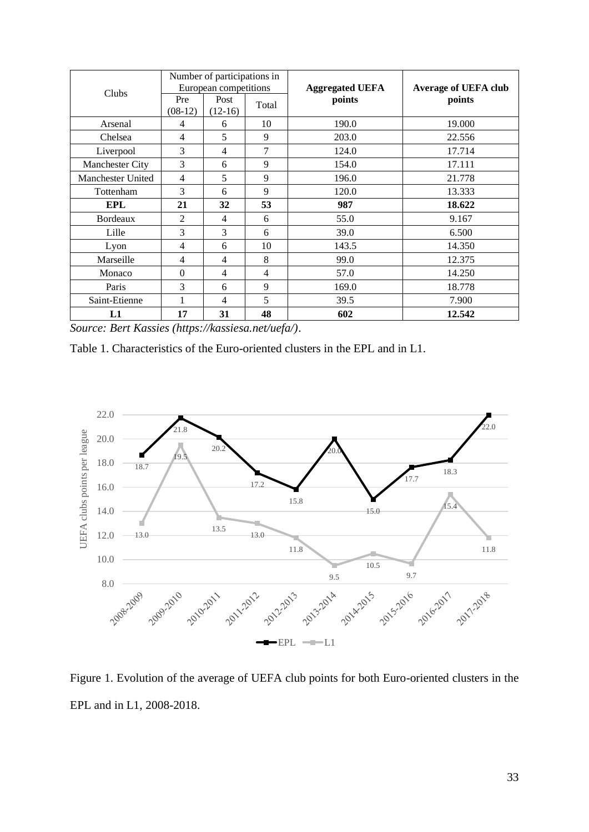| Clubs             | Number of participations in<br>European competitions |                   |                | <b>Aggregated UEFA</b> | <b>Average of UEFA club</b> |  |
|-------------------|------------------------------------------------------|-------------------|----------------|------------------------|-----------------------------|--|
|                   | Pre<br>$(08-12)$                                     | Post<br>$(12-16)$ | Total          | points                 | points                      |  |
| Arsenal           | $\overline{4}$                                       | 6                 | 10             | 190.0                  | 19.000                      |  |
| Chelsea           | $\overline{4}$                                       | 5                 | 9              | 203.0                  | 22.556                      |  |
| Liverpool         | 3                                                    | $\overline{4}$    | 7              | 124.0                  | 17.714                      |  |
| Manchester City   | $\overline{3}$                                       | 6                 | 9              | 154.0                  | 17.111                      |  |
| Manchester United | $\overline{4}$                                       | 5                 | 9              | 196.0                  | 21.778                      |  |
| Tottenham         | 3                                                    | 6                 | 9              | 120.0                  | 13.333                      |  |
| <b>EPL</b>        | 21                                                   | 32                | 53             | 987                    | 18.622                      |  |
| <b>Bordeaux</b>   | $\overline{2}$                                       | $\overline{4}$    | 6              | 55.0                   | 9.167                       |  |
| Lille             | 3                                                    | 3                 | 6              | 39.0                   | 6.500                       |  |
| Lyon              | $\overline{4}$                                       | 6                 | 10             | 143.5                  | 14.350                      |  |
| Marseille         | $\overline{4}$                                       | $\overline{4}$    | 8              | 99.0                   | 12.375                      |  |
| Monaco            | $\Omega$                                             | $\overline{4}$    | $\overline{4}$ | 57.0                   | 14.250                      |  |
| Paris             | 3                                                    | 6                 | 9              | 169.0                  | 18.778                      |  |
| Saint-Etienne     | 1                                                    | $\overline{4}$    | 5              | 39.5                   | 7.900                       |  |
| L1                | 17                                                   | 31                | 48             | 602                    | 12.542                      |  |

*Source: Bert Kassies (https://kassiesa.net/uefa/)*.

Table 1. Characteristics of the Euro-oriented clusters in the EPL and in L1.



Figure 1. Evolution of the average of UEFA club points for both Euro-oriented clusters in the EPL and in L1, 2008-2018.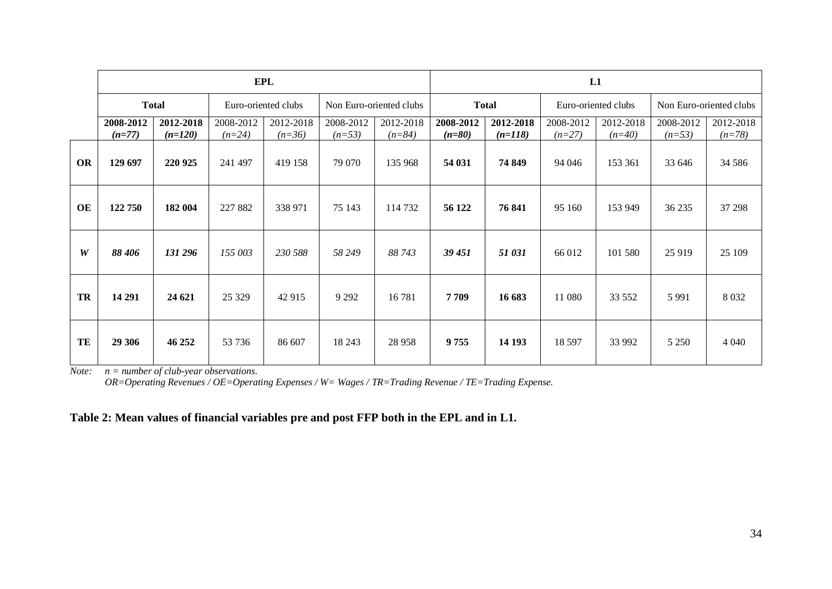|    | <b>EPL</b>            |                        |                       |                       |                         |                       |                       | L1                     |                       |                       |                         |                       |  |  |
|----|-----------------------|------------------------|-----------------------|-----------------------|-------------------------|-----------------------|-----------------------|------------------------|-----------------------|-----------------------|-------------------------|-----------------------|--|--|
|    | <b>Total</b>          |                        | Euro-oriented clubs   |                       | Non Euro-oriented clubs |                       | <b>Total</b>          |                        | Euro-oriented clubs   |                       | Non Euro-oriented clubs |                       |  |  |
|    | 2008-2012<br>$(n=77)$ | 2012-2018<br>$(n=120)$ | 2008-2012<br>$(n=24)$ | 2012-2018<br>$(n=36)$ | 2008-2012<br>$(n=53)$   | 2012-2018<br>$(n=84)$ | 2008-2012<br>$(n=80)$ | 2012-2018<br>$(n=118)$ | 2008-2012<br>$(n=27)$ | 2012-2018<br>$(n=40)$ | 2008-2012<br>$(n=53)$   | 2012-2018<br>$(n=78)$ |  |  |
| OR | 129 697               | 220 925                | 241 497               | 419 158               | 79 070                  | 135 968               | 54 031                | 74 849                 | 94 046                | 153 361               | 33 646                  | 34 5 8 6              |  |  |
| OE | 122 750               | 182 004                | 227 882               | 338 971               | 75 143                  | 114 732               | 56 122                | 76 841                 | 95 160                | 153 949               | 36 235                  | 37 298                |  |  |
| W  | 88 406                | 131 296                | 155 003               | 230 588               | 58 249                  | 88 743                | 39 451                | 51 031                 | 66 012                | 101 580               | 25 9 19                 | 25 109                |  |  |
| TR | 14 29 1               | 24 621                 | 25 3 29               | 42 915                | 9 2 9 2                 | 16781                 | 7709                  | 16 683                 | 11 080                | 33 552                | 5 9 9 1                 | 8 0 3 2               |  |  |
| TE | 29 30 6               | 46 25 2                | 53 736                | 86 607                | 18 24 3                 | 28 9 58               | 9755                  | 14 193                 | 18 5 97               | 33 992                | 5 2 5 0                 | 4 0 4 0               |  |  |

*Note: n = number of club-year observations.*

*OR=Operating Revenues / OE=Operating Expenses / W= Wages / TR=Trading Revenue / TE=Trading Expense.*

## **Table 2: Mean values of financial variables pre and post FFP both in the EPL and in L1.**